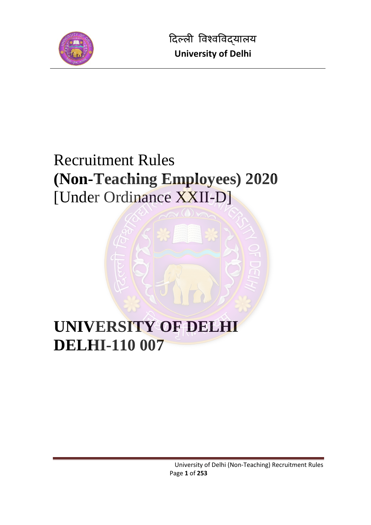

# Recruitment Rules **(Non-Teaching Employees) 2020** [Under Ordinance XXII-D]

# **UNIVERSITY OF DELHI DELHI-110 007**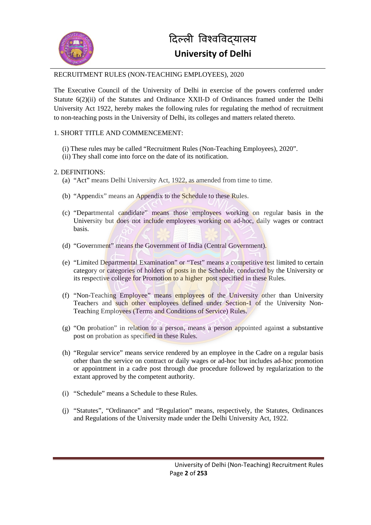

#### RECRUITMENT RULES (NON-TEACHING EMPLOYEES), 2020

The Executive Council of the University of Delhi in exercise of the powers conferred under Statute 6(2)(ii) of the Statutes and Ordinance XXII-D of Ordinances framed under the Delhi University Act 1922, hereby makes the following rules for regulating the method of recruitment to non-teaching posts in the University of Delhi, its colleges and matters related thereto.

#### 1. SHORT TITLE AND COMMENCEMENT:

- (i) These rules may be called "Recruitment Rules (Non-Teaching Employees), 2020".
- (ii) They shall come into force on the date of its notification.

#### 2. DEFINITIONS:

- (a) "Act" means Delhi University Act, 1922, as amended from time to time.
- (b) "Appendix" means an Appendix to the Schedule to these Rules.
- (c) "Departmental candidate" means those employees working on regular basis in the University but does not include employees working on ad-hoc, daily wages or contract basis.
- (d) "Government" means the Government of India (Central Government).
- (e) "Limited Departmental Examination" or "Test" means a competitive test limited to certain category or categories of holders of posts in the Schedule, conducted by the University or its respective college for Promotion to a higher post specified in these Rules.
- (f) "Non-Teaching Employee" means employees of the University other than University Teachers and such other employees defined under Section-1 of the University Non-Teaching Employees (Terms and Conditions of Service) Rules.
- (g) "On probation" in relation to a person, means a person appointed against a substantive post on probation as specified in these Rules.
- (h) "Regular service" means service rendered by an employee in the Cadre on a regular basis other than the service on contract or daily wages or ad-hoc but includes ad-hoc promotion or appointment in a cadre post through due procedure followed by regularization to the extant approved by the competent authority.
- (i) "Schedule" means a Schedule to these Rules.
- (j) "Statutes", "Ordinance" and "Regulation" means, respectively, the Statutes, Ordinances and Regulations of the University made under the Delhi University Act, 1922.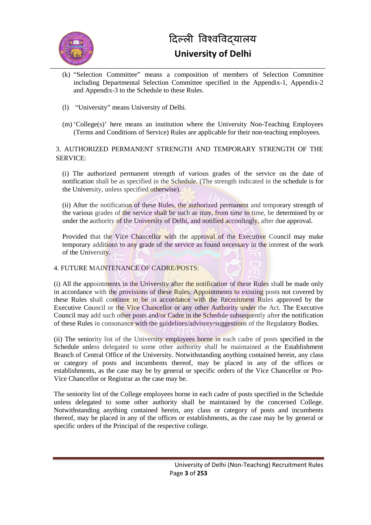

- (k) "Selection Committee" means a composition of members of Selection Committee including Departmental Selection Committee specified in the Appendix-1, Appendix-2 and Appendix-3 to the Schedule to these Rules.
- (l) "University" means University of Delhi.
- (m) 'College(s)' here means an institution where the University Non-Teaching Employees (Terms and Conditions of Service) Rules are applicable for their non-teaching employees.

#### 3. AUTHORIZED PERMANENT STRENGTH AND TEMPORARY STRENGTH OF THE SERVICE:

(i) The authorized permanent strength of various grades of the service on the date of notification shall be as specified in the Schedule. (The strength indicated in the schedule is for the University, unless specified otherwise).

(ii) After the notification of these Rules, the authorized permanent and temporary strength of the various grades of the service shall be such as may, from time to time, be determined by or under the authority of the University of Delhi, and notified accordingly, after due approval.

Provided that the Vice Chancellor with the approval of the Executive Council may make temporary additions to any grade of the service as found necessary in the interest of the work of the University.

#### 4. FUTURE MAINTENANCE OF CADRE/POSTS:



(ii) The seniority list of the University employees borne in each cadre of posts specified in the Schedule unless delegated to some other authority shall be maintained at the Establishment Branch of Central Office of the University. Notwithstanding anything contained herein, any class or category of posts and incumbents thereof, may be placed in any of the offices or establishments, as the case may be by general or specific orders of the Vice Chancellor or Pro-Vice Chancellor or Registrar as the case may be.

The seniority list of the College employees borne in each cadre of posts specified in the Schedule unless delegated to some other authority shall be maintained by the concerned College. Notwithstanding anything contained herein, any class or category of posts and incumbents thereof, may be placed in any of the offices or establishments, as the case may be by general or specific orders of the Principal of the respective college.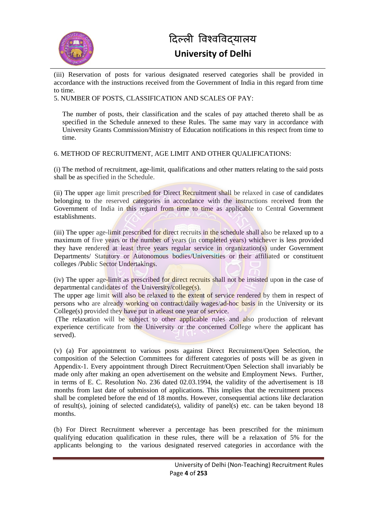

(iii) Reservation of posts for various designated reserved categories shall be provided in accordance with the instructions received from the Government of India in this regard from time to time.

5. NUMBER OF POSTS, CLASSIFICATION AND SCALES OF PAY:

The number of posts, their classification and the scales of pay attached thereto shall be as specified in the Schedule annexed to these Rules. The same may vary in accordance with University Grants Commission/Ministry of Education notifications in this respect from time to time.

6. METHOD OF RECRUITMENT, AGE LIMIT AND OTHER QUALIFICATIONS:

(i) The method of recruitment, age-limit, qualifications and other matters relating to the said posts shall be as specified in the Schedule.

(ii) The upper age limit prescribed for Direct Recruitment shall be relaxed in case of candidates belonging to the reserved categories in accordance with the instructions received from the Government of India in this regard from time to time as applicable to Central Government establishments.

(iii) The upper age-limit prescribed for direct recruits in the schedule shall also be relaxed up to a maximum of five years or the number of years (in completed years) whichever is less provided they have rendered at least three years regular service in organization(s) under Government Departments/ Statutory or Autonomous bodies/Universities or their affiliated or constituent colleges /Public Sector Undertakings.

(iv) The upper age-limit as prescribed for direct recruits shall not be insisted upon in the case of departmental candidates of the University/college(s).

The upper age limit will also be relaxed to the extent of service rendered by them in respect of persons who are already working on contract/daily wages/ad-hoc basis in the University or its College(s) provided they have put in atleast one year of service.

(The relaxation will be subject to other applicable rules and also production of relevant experience certificate from the University or the concerned College where the applicant has served).

(v) (a) For appointment to various posts against Direct Recruitment/Open Selection, the composition of the Selection Committees for different categories of posts will be as given in Appendix-1. Every appointment through Direct Recruitment/Open Selection shall invariably be made only after making an open advertisement on the website and Employment News. Further, in terms of E. C. Resolution No. 236 dated 02.03.1994, the validity of the advertisement is 18 months from last date of submission of applications. This implies that the recruitment process shall be completed before the end of 18 months. However, consequential actions like declaration of result(s), joining of selected candidate(s), validity of panel(s) etc. can be taken beyond 18 months.

(b) For Direct Recruitment wherever a percentage has been prescribed for the minimum qualifying education qualification in these rules, there will be a relaxation of 5% for the applicants belonging to the various designated reserved categories in accordance with the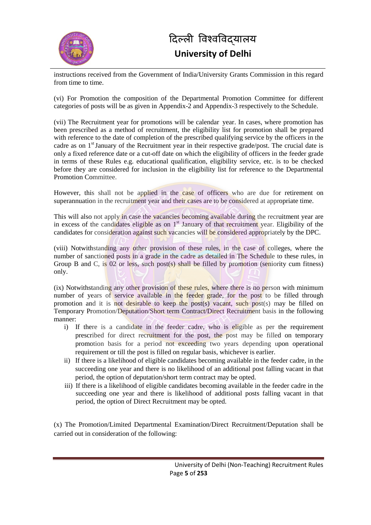

instructions received from the Government of India/University Grants Commission in this regard from time to time.

(vi) For Promotion the composition of the Departmental Promotion Committee for different categories of posts will be as given in Appendix-2 and Appendix-3 respectively to the Schedule.

(vii) The Recruitment year for promotions will be calendar year. In cases, where promotion has been prescribed as a method of recruitment, the eligibility list for promotion shall be prepared with reference to the date of completion of the prescribed qualifying service by the officers in the cadre as on  $1<sup>st</sup>$  January of the Recruitment year in their respective grade/post. The crucial date is only a fixed reference date or a cut-off date on which the eligibility of officers in the feeder grade in terms of these Rules e.g. educational qualification, eligibility service, etc. is to be checked before they are considered for inclusion in the eligibility list for reference to the Departmental Promotion Committee.

However, this shall not be applied in the case of officers who are due for retirement on superannuation in the recruitment year and their cases are to be considered at appropriate time.

This will also not apply in case the vacancies becoming available during the recruitment year are in excess of the candidates eligible as on  $1<sup>st</sup>$  January of that recruitment year. Eligibility of the candidates for consideration against such vacancies will be considered appropriately by the DPC.

(viii) Notwithstanding any other provision of these rules, in the case of colleges, where the number of sanctioned posts in a grade in the cadre as detailed in The Schedule to these rules, in Group B and C, is 02 or less, such post(s) shall be filled by promotion (seniority cum fitness) only.

(ix) Notwithstanding any other provision of these rules, where there is no person with minimum number of years of service available in the feeder grade, for the post to be filled through promotion and it is not desirable to keep the post(s) vacant, such post(s) may be filled on Temporary Promotion/Deputation/Short term Contract/Direct Recruitment basis in the following manner:

- i) If there is a candidate in the feeder cadre, who is eligible as per the requirement prescribed for direct recruitment for the post, the post may be filled on temporary promotion basis for a period not exceeding two years depending upon operational requirement or till the post is filled on regular basis, whichever is earlier.
- ii) If there is a likelihood of eligible candidates becoming available in the feeder cadre, in the succeeding one year and there is no likelihood of an additional post falling vacant in that period, the option of deputation/short term contract may be opted.
- iii) If there is a likelihood of eligible candidates becoming available in the feeder cadre in the succeeding one year and there is likelihood of additional posts falling vacant in that period, the option of Direct Recruitment may be opted.

(x) The Promotion/Limited Departmental Examination/Direct Recruitment/Deputation shall be carried out in consideration of the following: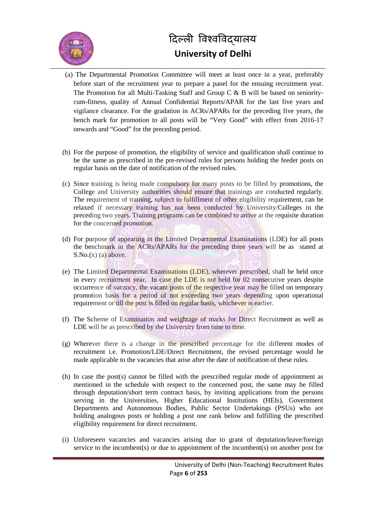

- (a) The Departmental Promotion Committee will meet at least once in a year, preferably before start of the recruitment year to prepare a panel for the ensuing recruitment year. The Promotion for all Multi-Tasking Staff and Group C & B will be based on senioritycum-fitness, quality of Annual Confidential Reports/APAR for the last five years and vigilance clearance. For the gradation in ACRs/APARs for the preceding five years, the bench mark for promotion to all posts will be "Very Good" with effect from 2016-17 onwards and "Good" for the preceding period.
- (b) For the purpose of promotion, the eligibility of service and qualification shall continue to be the same as prescribed in the pre-revised rules for persons holding the feeder posts on regular basis on the date of notification of the revised rules.
- (c) Since training is being made compulsory for many posts to be filled by promotions, the College and University authorities should ensure that trainings are conducted regularly. The requirement of training, subject to fulfillment of other eligibility requirement, can be relaxed if necessary training has not been conducted by University/Colleges in the preceding two years. Training programs can be combined to arrive at the requisite duration for the concerned promotion.
- (d) For purpose of appearing in the Limited Departmental Examinations (LDE) for all posts the benchmark in the ACRs/APARs for the preceding three years will be as stated at  $S.No.(x)$  (a) above.
- (e) The Limited Departmental Examinations (LDE), wherever prescribed, shall be held once in every recruitment year. In case the LDE is not held for 02 consecutive years despite occurrence of vacancy, the vacant posts of the respective year may be filled on temporary promotion basis for a period of not exceeding two years depending upon operational requirement or till the post is filled on regular basis, whichever is earlier.
- (f) The Scheme of Examination and weightage of marks for Direct Recruitment as well as LDE will be as prescribed by the University from time to time.
- (g) Wherever there is a change in the prescribed percentage for the different modes of recruitment i.e. Promotion/LDE/Direct Recruitment, the revised percentage would be made applicable to the vacancies that arise after the date of notification of these rules.
- (h) In case the post(s) cannot be filled with the prescribed regular mode of appointment as mentioned in the schedule with respect to the concerned post, the same may be filled through deputation/short term contract basis, by inviting applications from the persons serving in the Universities, Higher Educational Institutions (HEIs), Government Departments and Autonomous Bodies, Public Sector Undertakings (PSUs) who are holding analogous posts or holding a post one rank below and fulfilling the prescribed eligibility requirement for direct recruitment.
- (i) Unforeseen vacancies and vacancies arising due to grant of deputation/leave/foreign service to the incumbent(s) or due to appointment of the incumbent(s) on another post for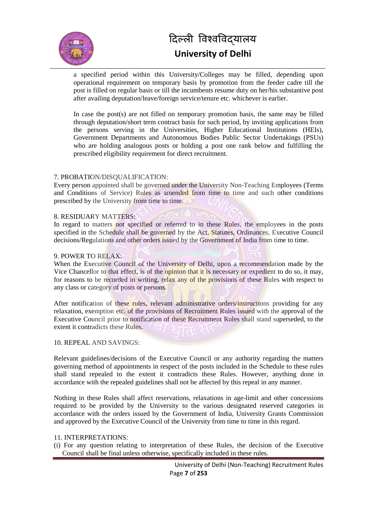

a specified period within this University/Colleges may be filled, depending upon operational requirement on temporary basis by promotion from the feeder cadre till the post is filled on regular basis or till the incumbents resume duty on her/his substantive post after availing deputation/leave/foreign service/tenure etc. whichever is earlier.

In case the post(s) are not filled on temporary promotion basis, the same may be filled through deputation/short term contract basis for such period, by inviting applications from the persons serving in the Universities, Higher Educational Institutions (HEIs), Government Departments and Autonomous Bodies Public Sector Undertakings (PSUs) who are holding analogous posts or holding a post one rank below and fulfilling the prescribed eligibility requirement for direct recruitment.

#### 7. PROBATION/DISQUALIFICATION:

Every person appointed shall be governed under the University Non-Teaching Employees (Terms and Conditions of Service) Rules as amended from time to time and such other conditions prescribed by the University from time to time.

#### 8. RESIDUARY MATTERS:

In regard to matters not specified or referred to in these Rules, the employees in the posts specified in the Schedule shall be governed by the Act, Statutes, Ordinances, Executive Council decisions/Regulations and other orders issued by the Government of India from time to time.

#### 9. POWER TO RELAX:

When the Executive Council of the University of Delhi, upon a recommendation made by the Vice Chancellor to that effect, is of the opinion that it is necessary or expedient to do so, it may, for reasons to be recorded in writing, relax any of the provisions of these Rules with respect to any class or category of posts or persons.

After notification of these rules, relevant administrative orders/instructions providing for any relaxation, exemption etc. of the provisions of Recruitment Rules issued with the approval of the Executive Council prior to notification of these Recruitment Rules shall stand superseded, to the extent it contradicts these Rules.

#### 10. REPEAL AND SAVINGS:

Relevant guidelines/decisions of the Executive Council or any authority regarding the matters governing method of appointments in respect of the posts included in the Schedule to these rules shall stand repealed to the extent it contradicts these Rules. However, anything done in accordance with the repealed guidelines shall not be affected by this repeal in any manner.

Nothing in these Rules shall affect reservations, relaxations in age-limit and other concessions required to be provided by the University to the various designated reserved categories in accordance with the orders issued by the Government of India, University Grants Commission and approved by the Executive Council of the University from time to time in this regard.

#### 11. INTERPRETATIONS:

(i) For any question relating to interpretation of these Rules, the decision of the Executive Council shall be final unless otherwise, specifically included in these rules.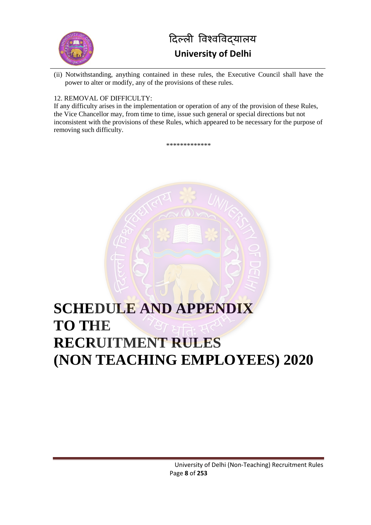

(ii) Notwithstanding, anything contained in these rules, the Executive Council shall have the power to alter or modify, any of the provisions of these rules.

#### 12. REMOVAL OF DIFFICULTY:

If any difficulty arises in the implementation or operation of any of the provision of these Rules, the Vice Chancellor may, from time to time, issue such general or special directions but not inconsistent with the provisions of these Rules, which appeared to be necessary for the purpose of removing such difficulty.

\*\*\*\*\*\*\*\*\*\*\*



# **SCHEDULE AND APPENDIX TO THE RECRUITMENT RULES (NON TEACHING EMPLOYEES) 2020**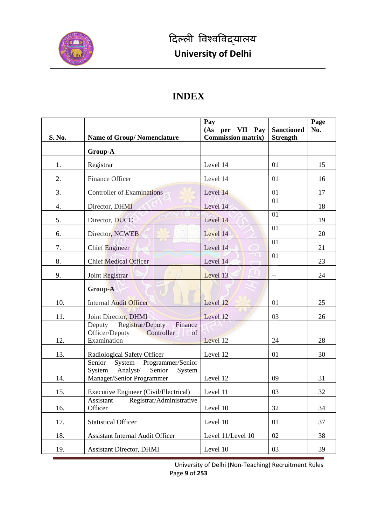

### **INDEX**

| S. No. | <b>Name of Group/Nomenclature</b>                                                                         | Pay<br>(As per VII Pay<br><b>Commission matrix</b> ) | <b>Sanctioned</b><br><b>Strength</b> | Page<br>No. |
|--------|-----------------------------------------------------------------------------------------------------------|------------------------------------------------------|--------------------------------------|-------------|
|        | Group-A                                                                                                   |                                                      |                                      |             |
| 1.     | Registrar                                                                                                 | Level 14                                             | 01                                   | 15          |
| 2.     | Finance Officer                                                                                           | Level 14                                             | 01                                   | 16          |
| 3.     | <b>Controller of Examinations</b>                                                                         | Level 14                                             | 01                                   | 17          |
| 4.     | Director, DHMI                                                                                            | Level 14                                             | 01                                   | 18          |
| 5.     | Director, DUCC                                                                                            | Level 14                                             | 01                                   | 19          |
| 6.     | Director, NCWEB                                                                                           | Level 14                                             | 01                                   | 20          |
| 7.     | Chief Engineer                                                                                            | Level 14                                             | 01                                   | 21          |
| 8.     | <b>Chief Medical Officer</b>                                                                              | Level 14                                             | 01                                   | 23          |
| 9.     | Joint Registrar                                                                                           | Level 13                                             | $-$                                  | 24          |
|        | Group-A                                                                                                   |                                                      |                                      |             |
| 10.    | <b>Internal Audit Officer</b>                                                                             | Level 12                                             | 01                                   | 25          |
| 11.    | Joint Director, DHMI                                                                                      | Level 12                                             | 03                                   | 26          |
| 12.    | Registrar/Deputy<br>Finance<br>Deputy<br>Officer/Deputy<br>Controller<br><sub>of</sub><br>Examination     | Level 12                                             | 24                                   | 28          |
| 13.    | Radiological Safety Officer                                                                               | Level 12                                             | 01                                   | 30          |
| 14.    | System Programmer/Senior<br>Senior<br>Analyst/<br>Senior<br>System<br>System<br>Manager/Senior Programmer | Level 12                                             | 09                                   | 31          |
| 15.    | Executive Engineer (Civil/Electrical)                                                                     | Level 11                                             | 03                                   | 32          |
| 16.    | Assistant<br>Registrar/Administrative<br>Officer                                                          | Level 10                                             | 32                                   | 34          |
| 17.    | <b>Statistical Officer</b>                                                                                | Level 10                                             | 01                                   | 37          |
| 18.    | Assistant Internal Audit Officer                                                                          | Level 11/Level 10                                    | 02                                   | 38          |
| 19.    | <b>Assistant Director, DHMI</b>                                                                           | Level 10                                             | 03                                   | 39          |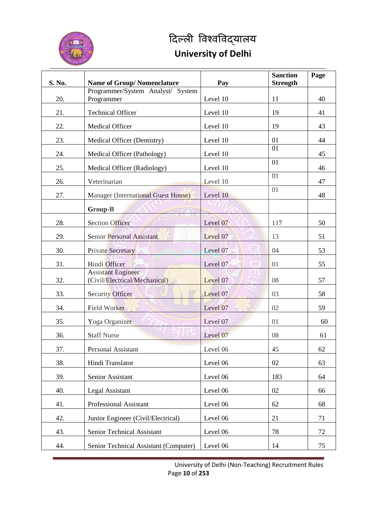

# दिल्ली विश्वविद्**यालय**

### **University of Delhi**

| S. No. | <b>Name of Group/Nomenclature</b>                          | Pay      | <b>Sanction</b><br><b>Strength</b> | Page |
|--------|------------------------------------------------------------|----------|------------------------------------|------|
| 20.    | Programmer/System Analyst/ System<br>Programmer            | Level 10 | 11                                 | 40   |
| 21.    | <b>Technical Officer</b>                                   | Level 10 | 19                                 | 41   |
| 22.    | Medical Officer                                            | Level 10 | 19                                 | 43   |
| 23.    | Medical Officer (Dentistry)                                | Level 10 | 01                                 | 44   |
| 24.    | Medical Officer (Pathology)                                | Level 10 | 01                                 | 45   |
| 25.    | Medical Officer (Radiology)                                | Level 10 | 01                                 | 46   |
| 26.    | Veterinarian                                               | Level 10 | 01                                 | 47   |
| 27.    | <b>Manager</b> (International Guest House)                 | Level 10 | 01                                 | 48   |
|        | Group-B                                                    |          |                                    |      |
| 28.    | <b>Section Officer</b>                                     | Level 07 | 117                                | 50   |
| 29.    | Senior Personal Assistant                                  | Level 07 | 13                                 | 51   |
| 30.    | Private Secretary                                          | Level 07 | 04                                 | 53   |
| 31.    | Hindi Officer                                              | Level 07 | 01                                 | 55   |
| 32.    | <b>Assistant Engineer</b><br>(Civil/Electrical/Mechanical) | Level 07 | 08                                 | 57   |
| 33.    | <b>Security Officer</b>                                    | Level 07 | 03                                 | 58   |
| 34.    | <b>Field Worker</b>                                        | Level 07 | 02                                 | 59   |
| 35.    | Yoga Organizer                                             | Level 07 | 01                                 | 60   |
| 36.    | <b>Staff Nurse</b>                                         | Level 07 | 08                                 | 61   |
| 37.    | Personal Assistant                                         | Level 06 | 45                                 | 62   |
| 38.    | Hindi Translator                                           | Level 06 | 02                                 | 63   |
| 39.    | Senior Assistant                                           | Level 06 | 183                                | 64   |
| 40.    | <b>Legal Assistant</b>                                     | Level 06 | 02                                 | 66   |
| 41.    | Professional Assistant                                     | Level 06 | 62                                 | 68   |
| 42.    | Junior Engineer (Civil/Electrical)                         | Level 06 | 21                                 | 71   |
| 43.    | Senior Technical Assistant                                 | Level 06 | 78                                 | 72   |
| 44.    | Senior Technical Assistant (Computer)                      | Level 06 | 14                                 | 75   |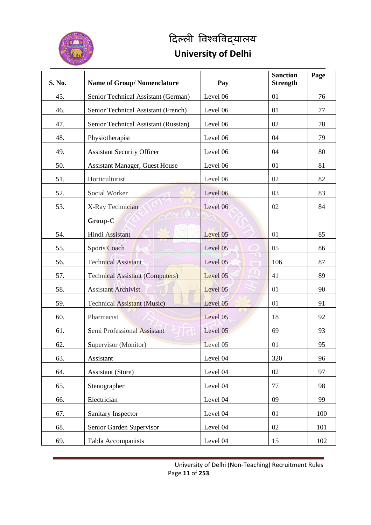

| S. No. | <b>Name of Group/Nomenclature</b>      | Pay                         | <b>Sanction</b><br><b>Strength</b> | Page |
|--------|----------------------------------------|-----------------------------|------------------------------------|------|
| 45.    | Senior Technical Assistant (German)    | Level 06                    | 01                                 | 76   |
| 46.    | Senior Technical Assistant (French)    | Level 06                    | 01                                 | 77   |
| 47.    | Senior Technical Assistant (Russian)   | Level 06                    | 02                                 | 78   |
| 48.    | Physiotherapist                        | Level 06                    | 04                                 | 79   |
| 49.    | <b>Assistant Security Officer</b>      | Level 06                    | 04                                 | 80   |
| 50.    | <b>Assistant Manager, Guest House</b>  | Level 06                    | 01                                 | 81   |
| 51.    | Horticulturist                         | Level 06                    | 02                                 | 82   |
| 52.    | Social Worker                          | Level 06                    | 03                                 | 83   |
| 53.    | X-Ray Technician                       | Level 06                    | 02                                 | 84   |
|        | Group-C                                |                             |                                    |      |
| 54.    | Hindi Assistant                        | Level 05                    | 01                                 | 85   |
| 55.    | Sports Coach                           | Level 05                    | 05                                 | 86   |
| 56.    | <b>Technical Assistant</b>             | Level 05<br><b>Contract</b> | 106                                | 87   |
| 57.    | <b>Technical Assistant (Computers)</b> | Level 05                    | 41                                 | 89   |
| 58.    | <b>Assistant Archivist</b>             | Level 05                    | 01                                 | 90   |
| 59.    | <b>Technical Assistant (Music)</b>     | Level 05                    | 01                                 | 91   |
| 60.    | Pharmacist                             | Level 05                    | 18                                 | 92   |
| 61.    | Semi Professional Assistant            | Level 05                    | 69                                 | 93   |
| 62.    | Supervisor (Monitor)                   | Level 05                    | 01                                 | 95   |
| 63.    | Assistant                              | Level 04                    | 320                                | 96   |
| 64.    | Assistant (Store)                      | Level 04                    | 02                                 | 97   |
| 65.    | Stenographer                           | Level 04                    | 77                                 | 98   |
| 66.    | Electrician                            | Level 04                    | 09                                 | 99   |
| 67.    | Sanitary Inspector                     | Level 04                    | 01                                 | 100  |
| 68.    | Senior Garden Supervisor               | Level 04                    | 02                                 | 101  |
| 69.    | Tabla Accompanists                     | Level 04                    | 15                                 | 102  |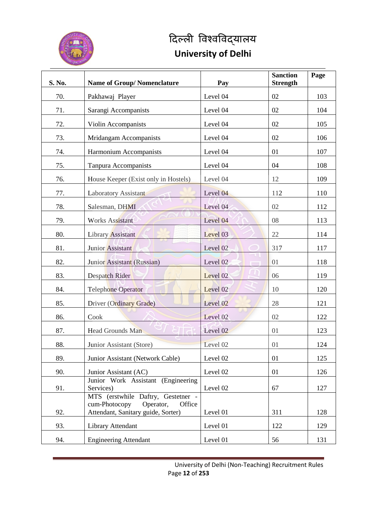

| S. No. | <b>Name of Group/Nomenclature</b>                                          | Pay                         | <b>Sanction</b><br><b>Strength</b> | Page |
|--------|----------------------------------------------------------------------------|-----------------------------|------------------------------------|------|
| 70.    | Pakhawaj Player                                                            | Level 04                    | 02                                 | 103  |
| 71.    | Sarangi Accompanists                                                       | Level 04                    | 02                                 | 104  |
| 72.    | Violin Accompanists                                                        | Level 04                    | 02                                 | 105  |
| 73.    | Mridangam Accompanists                                                     | Level 04                    | 02                                 | 106  |
| 74.    | <b>Harmonium Accompanists</b>                                              | Level 04                    | 01                                 | 107  |
| 75.    | Tanpura Accompanists                                                       | Level 04                    | 04                                 | 108  |
| 76.    | House Keeper (Exist only in Hostels)                                       | Level 04                    | 12                                 | 109  |
| 77.    | <b>Laboratory Assistant</b>                                                | Level 04                    | 112                                | 110  |
| 78.    | Salesman, DHMI                                                             | Level 04                    | 02                                 | 112  |
| 79.    | <b>Works Assistant</b>                                                     | Level 04                    | 08                                 | 113  |
| 80.    | Library Assistant                                                          | Level 03                    | 22                                 | 114  |
| 81.    | Junior Assistant                                                           | Level 02                    | 317                                | 117  |
| 82.    | Junior Assistant (Russian)                                                 | Level 02<br><b>Contract</b> | 01                                 | 118  |
| 83.    | Despatch Rider                                                             | Level 02                    | 06                                 | 119  |
| 84.    | Telephone Operator                                                         | Level 02                    | 10                                 | 120  |
| 85.    | Driver (Ordinary Grade)                                                    | Level 02                    | 28                                 | 121  |
| 86.    | Cook                                                                       | Level 02                    | 02                                 | 122  |
| 87.    | Head Grounds Man                                                           | Level 02                    | 01                                 | 123  |
| 88.    | Junior Assistant (Store)                                                   | Level 02                    | 01                                 | 124  |
| 89.    | Junior Assistant (Network Cable)                                           | Level 02                    | 01                                 | 125  |
| 90.    | Junior Assistant (AC)                                                      | Level 02                    | 01                                 | 126  |
| 91.    | Junior Work Assistant (Engineering<br>Services)                            | Level 02                    | 67                                 | 127  |
|        | MTS (erstwhile Daftry, Gestetner -<br>cum-Photocopy<br>Operator,<br>Office |                             |                                    |      |
| 92.    | Attendant, Sanitary guide, Sorter)                                         | Level 01                    | 311                                | 128  |
| 93.    | Library Attendant                                                          | Level 01                    | 122                                | 129  |
| 94.    | <b>Engineering Attendant</b>                                               | Level 01                    | 56                                 | 131  |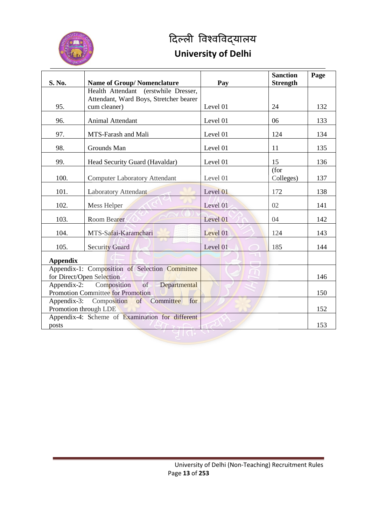

## दिल्ली विश्वविद्**याल**य

### **University of Delhi**

|                                                   |                                                        |          | <b>Sanction</b> | Page |
|---------------------------------------------------|--------------------------------------------------------|----------|-----------------|------|
| S. No.                                            | <b>Name of Group/Nomenclature</b>                      | Pay      | <b>Strength</b> |      |
|                                                   | Health Attendant (erstwhile Dresser,                   |          |                 |      |
| 95.                                               | Attendant, Ward Boys, Stretcher bearer<br>cum cleaner) | Level 01 | 24              | 132  |
|                                                   |                                                        |          |                 |      |
| 96.                                               | <b>Animal Attendant</b>                                | Level 01 | 06              | 133  |
| 97.                                               | MTS-Farash and Mali                                    | Level 01 | 124             | 134  |
| 98.                                               | Grounds Man                                            | Level 01 | 11              | 135  |
| 99.                                               | Head Security Guard (Havaldar)                         | Level 01 | 15              | 136  |
|                                                   |                                                        |          | (for            |      |
| 100.                                              | <b>Computer Laboratory Attendant</b>                   | Level 01 | Colleges)       | 137  |
| 101.                                              | <b>Laboratory Attendant</b>                            | Level 01 | 172             | 138  |
| 102.                                              | Mess Helper                                            | Level 01 | 02              | 141  |
| 103.                                              | <b>Room Bearer</b>                                     | Level 01 | 04              | 142  |
| 104.                                              | MTS-Safai-Karamchari                                   | Level 01 | 124             | 143  |
| 105.                                              | <b>Security Guard</b>                                  | Level 01 | 185             | 144  |
| <b>Appendix</b>                                   |                                                        |          |                 |      |
|                                                   | Appendix-1: Composition of Selection Committee         |          |                 |      |
| for Direct/Open Selection                         |                                                        |          |                 | 146  |
| of<br>Appendix-2: Composition<br>Departmental     |                                                        |          |                 |      |
| <b>Promotion Committee for Promotion</b>          |                                                        |          |                 | 150  |
| Appendix-3:<br>of Committee<br>for<br>Composition |                                                        |          |                 |      |
| Promotion through LDE                             |                                                        |          |                 | 152  |
|                                                   | Appendix-4: Scheme of Examination for different        |          |                 |      |
| posts                                             |                                                        |          |                 | 153  |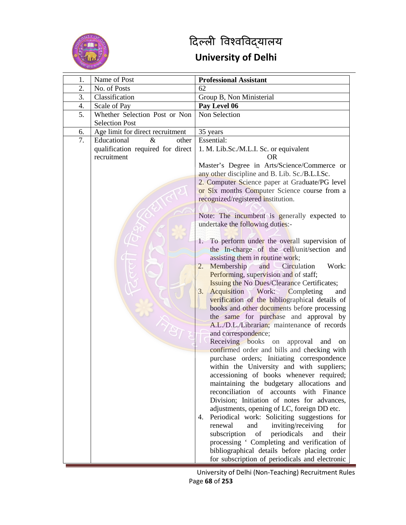

| 1.       | Name of Post                                                                                                         | <b>Professional Assistant</b>                                                                                                                                                                                                                                                                                                                                                                                                                                                                                                                                                                                                                                                                                                                                                                                                                                                                                                                                                                                                                                                                                                                                                                                                                                                                                                                                                                                                                                                                                                                                                                                                                                                                         |
|----------|----------------------------------------------------------------------------------------------------------------------|-------------------------------------------------------------------------------------------------------------------------------------------------------------------------------------------------------------------------------------------------------------------------------------------------------------------------------------------------------------------------------------------------------------------------------------------------------------------------------------------------------------------------------------------------------------------------------------------------------------------------------------------------------------------------------------------------------------------------------------------------------------------------------------------------------------------------------------------------------------------------------------------------------------------------------------------------------------------------------------------------------------------------------------------------------------------------------------------------------------------------------------------------------------------------------------------------------------------------------------------------------------------------------------------------------------------------------------------------------------------------------------------------------------------------------------------------------------------------------------------------------------------------------------------------------------------------------------------------------------------------------------------------------------------------------------------------------|
| 2.       | No. of Posts                                                                                                         | 62                                                                                                                                                                                                                                                                                                                                                                                                                                                                                                                                                                                                                                                                                                                                                                                                                                                                                                                                                                                                                                                                                                                                                                                                                                                                                                                                                                                                                                                                                                                                                                                                                                                                                                    |
| 3.       | Classification                                                                                                       | Group B, Non Ministerial                                                                                                                                                                                                                                                                                                                                                                                                                                                                                                                                                                                                                                                                                                                                                                                                                                                                                                                                                                                                                                                                                                                                                                                                                                                                                                                                                                                                                                                                                                                                                                                                                                                                              |
| 4.       | Scale of Pay                                                                                                         | Pay Level 06                                                                                                                                                                                                                                                                                                                                                                                                                                                                                                                                                                                                                                                                                                                                                                                                                                                                                                                                                                                                                                                                                                                                                                                                                                                                                                                                                                                                                                                                                                                                                                                                                                                                                          |
| 5.       | Whether Selection Post or Non<br><b>Selection Post</b>                                                               | Non Selection                                                                                                                                                                                                                                                                                                                                                                                                                                                                                                                                                                                                                                                                                                                                                                                                                                                                                                                                                                                                                                                                                                                                                                                                                                                                                                                                                                                                                                                                                                                                                                                                                                                                                         |
|          |                                                                                                                      |                                                                                                                                                                                                                                                                                                                                                                                                                                                                                                                                                                                                                                                                                                                                                                                                                                                                                                                                                                                                                                                                                                                                                                                                                                                                                                                                                                                                                                                                                                                                                                                                                                                                                                       |
| 6.<br>7. | Age limit for direct recruitment<br>Educational<br>$\&$<br>other<br>qualification required for direct<br>recruitment | 35 years<br>Essential:<br>1. M. Lib.Sc./M.L.I. Sc. or equivalent<br><b>OR</b><br>Master's Degree in Arts/Science/Commerce or<br>any other discipline and B. Lib. Sc./B.L.I.Sc.<br>2. Computer Science paper at Graduate/PG level<br>or Six months Computer Science course from a<br>recognized/registered institution.<br>Note: The incumbent is generally expected to<br>undertake the following duties:-<br>To perform under the overall supervision of<br>the In-charge of the cell/unit/section and<br>assisting them in routine work;<br>Membership<br>Work:<br>and<br>Circulation<br>2.<br>Performing, supervision and of staff;<br><b>Issuing the No Dues/Clearance Certificates;</b><br><b>Acquisition</b> Work: Completing<br>3.<br>and<br>verification of the bibliographical details of<br>books and other documents before processing<br>the same for purchase and approval by<br>A.L./D.L./Librarian; maintenance of records<br>and correspondence;<br>Receiving books on approval<br>and<br>on<br>confirmed order and bills and checking with<br>purchase orders; Initiating correspondence<br>within the University and with suppliers;<br>accessioning of books whenever required;<br>maintaining the budgetary allocations and<br>reconciliation of accounts<br>with Finance<br>Division; Initiation of notes for advances,<br>adjustments, opening of LC, foreign DD etc.<br>Periodical work: Soliciting suggestions for<br>4.<br>inviting/receiving<br>renewal<br>and<br>for<br>subscription<br>periodicals<br>of<br>and<br>their<br>processing ' Completing and verification of<br>bibliographical details before placing order<br>for subscription of periodicals and electronic |

University of Delhi (Non-Teaching) Recruitment Rules Page **68** of **253**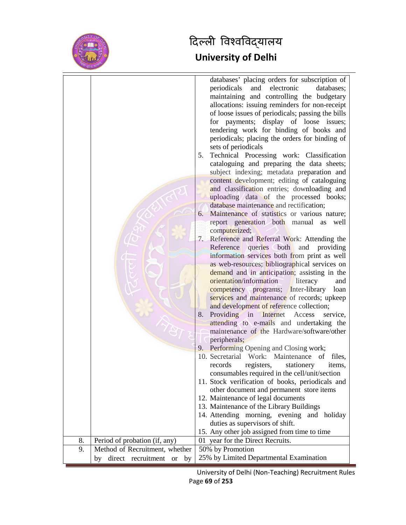

|    |                                   |    | databases' placing orders for subscription of                                    |
|----|-----------------------------------|----|----------------------------------------------------------------------------------|
|    |                                   |    | periodicals<br>and electronic<br>databases;                                      |
|    |                                   |    | maintaining and controlling the budgetary                                        |
|    |                                   |    | allocations: issuing reminders for non-receipt                                   |
|    |                                   |    | of loose issues of periodicals; passing the bills                                |
|    |                                   |    | for payments; display of loose issues;                                           |
|    |                                   |    | tendering work for binding of books and                                          |
|    |                                   |    | periodicals; placing the orders for binding of                                   |
|    |                                   |    | sets of periodicals                                                              |
|    |                                   | 5. | Technical Processing work: Classification                                        |
|    |                                   |    | cataloguing and preparing the data sheets;                                       |
|    |                                   |    | subject indexing; metadata preparation and                                       |
|    |                                   |    | content development; editing of cataloguing                                      |
|    |                                   |    | and classification entries; downloading and                                      |
|    |                                   |    | uploading data of the processed books;                                           |
|    |                                   |    | database maintenance and rectification;                                          |
|    |                                   | 6. | Maintenance of statistics or various nature;                                     |
|    |                                   |    | report generation both manual as<br>well                                         |
|    |                                   |    | computerized;                                                                    |
|    |                                   |    | Reference and Referral Work: Attending the                                       |
|    |                                   |    | Reference queries both and providing                                             |
|    |                                   |    | information services both from print as well                                     |
|    |                                   |    | as web-resources; bibliographical services on                                    |
|    |                                   |    | demand and in anticipation; assisting in the                                     |
|    |                                   |    | orientation/information<br>literacy<br>and                                       |
|    |                                   |    | competency programs; Inter-library loan                                          |
|    |                                   |    | services and maintenance of records; upkeep                                      |
|    |                                   |    | and development of reference collection;                                         |
|    |                                   | 8. | Providing in<br>Internet<br>Access<br>service,                                   |
|    |                                   |    | attending to e-mails and undertaking the                                         |
|    |                                   |    | maintenance of the Hardware/software/other                                       |
|    |                                   |    | peripherals;                                                                     |
|    |                                   |    | 9. Performing Opening and Closing work;                                          |
|    |                                   |    | 10. Secretarial Work: Maintenance of files,                                      |
|    |                                   |    | records registers,<br>stationery<br>items,                                       |
|    |                                   |    | consumables required in the cell/unit/section                                    |
|    |                                   |    | 11. Stock verification of books, periodicals and                                 |
|    |                                   |    | other document and permanent store items                                         |
|    |                                   |    | 12. Maintenance of legal documents                                               |
|    |                                   |    | 13. Maintenance of the Library Buildings                                         |
|    |                                   |    | 14. Attending morning, evening and holiday<br>duties as supervisors of shift.    |
|    |                                   |    |                                                                                  |
| 8. | Period of probation (if, any)     |    | 15. Any other job assigned from time to time<br>01 year for the Direct Recruits. |
| 9. | Method of Recruitment, whether    |    | 50% by Promotion                                                                 |
|    | direct recruitment or<br>by<br>by |    | 25% by Limited Departmental Examination                                          |
|    |                                   |    |                                                                                  |

University of Delhi (Non-Teaching) Recruitment Rules Page **69** of **253**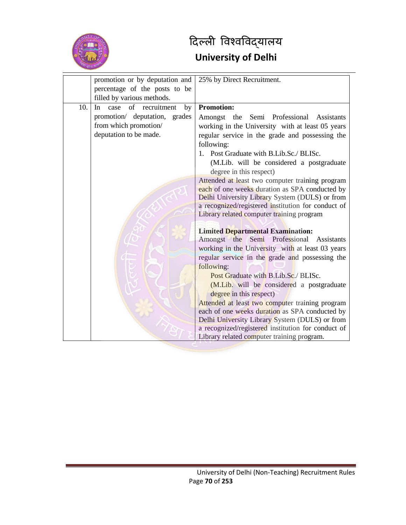

|     | promotion or by deputation and   | 25% by Direct Recruitment.                         |
|-----|----------------------------------|----------------------------------------------------|
|     | percentage of the posts to be    |                                                    |
|     | filled by various methods.       |                                                    |
| 10. | case of recruitment<br>In<br>by  | <b>Promotion:</b>                                  |
|     | promotion/ deputation,<br>grades | Semi Professional<br>Amongst the<br>Assistants     |
|     | from which promotion/            | working in the University with at least 05 years   |
|     | deputation to be made.           | regular service in the grade and possessing the    |
|     |                                  | following:                                         |
|     |                                  | 1. Post Graduate with B.Lib.Sc./ BLISc.            |
|     |                                  | (M.Lib. will be considered a postgraduate          |
|     |                                  | degree in this respect)                            |
|     |                                  | Attended at least two computer training program    |
|     |                                  | each of one weeks duration as SPA conducted by     |
|     |                                  | Delhi University Library System (DULS) or from     |
|     |                                  | a recognized/registered institution for conduct of |
|     |                                  | Library related computer training program          |
|     |                                  | <b>Limited Departmental Examination:</b>           |
|     |                                  | Amongst the Semi Professional Assistants           |
|     |                                  | working in the University with at least 03 years   |
|     |                                  | regular service in the grade and possessing the    |
|     |                                  | following:                                         |
|     |                                  | Post Graduate with B.Lib.Sc./ BLISc.               |
|     |                                  | (M.Lib. will be considered a postgraduate          |
|     |                                  | degree in this respect)                            |
|     |                                  | Attended at least two computer training program    |
|     |                                  | each of one weeks duration as SPA conducted by     |
|     |                                  | Delhi University Library System (DULS) or from     |
|     |                                  | a recognized/registered institution for conduct of |
|     |                                  | Library related computer training program.         |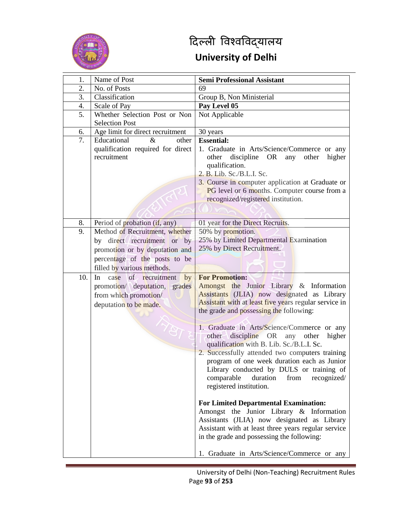

| 1.  | Name of Post                                                                                                                                                      | <b>Semi Professional Assistant</b>                                                                                                                                                                                                                                                                                                                                                                                                                                                                                                                                                                                                                                                                                                                                                                                                                                                |
|-----|-------------------------------------------------------------------------------------------------------------------------------------------------------------------|-----------------------------------------------------------------------------------------------------------------------------------------------------------------------------------------------------------------------------------------------------------------------------------------------------------------------------------------------------------------------------------------------------------------------------------------------------------------------------------------------------------------------------------------------------------------------------------------------------------------------------------------------------------------------------------------------------------------------------------------------------------------------------------------------------------------------------------------------------------------------------------|
| 2.  | No. of Posts                                                                                                                                                      | 69                                                                                                                                                                                                                                                                                                                                                                                                                                                                                                                                                                                                                                                                                                                                                                                                                                                                                |
| 3.  | Classification                                                                                                                                                    | Group B, Non Ministerial                                                                                                                                                                                                                                                                                                                                                                                                                                                                                                                                                                                                                                                                                                                                                                                                                                                          |
| 4.  | Scale of Pay                                                                                                                                                      | Pay Level 05                                                                                                                                                                                                                                                                                                                                                                                                                                                                                                                                                                                                                                                                                                                                                                                                                                                                      |
| 5.  | Whether Selection Post or Non<br><b>Selection Post</b>                                                                                                            | Not Applicable                                                                                                                                                                                                                                                                                                                                                                                                                                                                                                                                                                                                                                                                                                                                                                                                                                                                    |
| 6.  | Age limit for direct recruitment                                                                                                                                  | 30 years                                                                                                                                                                                                                                                                                                                                                                                                                                                                                                                                                                                                                                                                                                                                                                                                                                                                          |
| 7.  | Educational<br>other<br>$\&$<br>qualification required for direct<br>recruitment                                                                                  | <b>Essential:</b><br>1. Graduate in Arts/Science/Commerce or any<br>discipline OR<br>any<br>other<br>higher<br>other<br>qualification.<br>2. B. Lib. Sc./B.L.I. Sc.<br>3. Course in computer application at Graduate or<br>PG level or 6 months. Computer course from a<br>recognized/registered institution.                                                                                                                                                                                                                                                                                                                                                                                                                                                                                                                                                                     |
| 8.  | Period of probation (if, any)                                                                                                                                     | 01 year for the Direct Recruits.                                                                                                                                                                                                                                                                                                                                                                                                                                                                                                                                                                                                                                                                                                                                                                                                                                                  |
| 9.  | Method of Recruitment, whether<br>by direct recruitment or<br>by<br>promotion or by deputation and<br>percentage of the posts to be<br>filled by various methods. | 50% by promotion.<br>25% by Limited Departmental Examination<br>25% by Direct Recruitment.                                                                                                                                                                                                                                                                                                                                                                                                                                                                                                                                                                                                                                                                                                                                                                                        |
| 10. | case<br>of recruitment<br>by<br>In.<br>promotion/ deputation, grades<br>from which promotion/<br>deputation to be made.                                           | <b>For Promotion:</b><br>Amongst the Junior Library & Information<br>Assistants (JLIA) now designated as Library<br>Assistant with at least five years regular service in<br>the grade and possessing the following:<br>1. Graduate in Arts/Science/Commerce or any<br>other discipline OR<br>any other<br>higher<br>qualification with B. Lib. Sc./B.L.I. Sc.<br>2. Successfully attended two computers training<br>program of one week duration each as Junior<br>Library conducted by DULS or training of<br>from recognized/<br>comparable duration<br>registered institution.<br><b>For Limited Departmental Examination:</b><br>Amongst the Junior Library & Information<br>Assistants (JLIA) now designated as Library<br>Assistant with at least three years regular service<br>in the grade and possessing the following:<br>1. Graduate in Arts/Science/Commerce or any |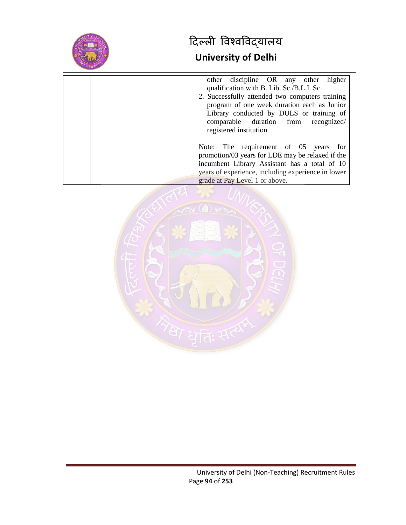

| other discipline OR any other<br>higher            |
|----------------------------------------------------|
| qualification with B. Lib. Sc./B.L.I. Sc.          |
| 2. Successfully attended two computers training    |
| program of one week duration each as Junior        |
| Library conducted by DULS or training of           |
| comparable duration from<br>recognized/            |
| registered institution.                            |
|                                                    |
| Note: The requirement of 05 years for              |
| promotion/03 years for LDE may be relaxed if the   |
| incumbent Library Assistant has a total of 10      |
| years of experience, including experience in lower |
| grade at Pay Level 1 or above.                     |

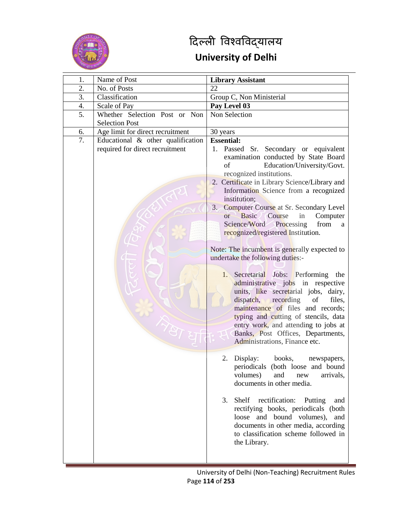

| 1. | Name of Post                                                            | <b>Library Assistant</b>                                                                                                                                                                                                                                                                                                                                                                                                                                  |
|----|-------------------------------------------------------------------------|-----------------------------------------------------------------------------------------------------------------------------------------------------------------------------------------------------------------------------------------------------------------------------------------------------------------------------------------------------------------------------------------------------------------------------------------------------------|
| 2. | No. of Posts                                                            | 22                                                                                                                                                                                                                                                                                                                                                                                                                                                        |
| 3. | Classification                                                          | Group C, Non Ministerial                                                                                                                                                                                                                                                                                                                                                                                                                                  |
| 4. | Scale of Pay                                                            | Pay Level 03                                                                                                                                                                                                                                                                                                                                                                                                                                              |
| 5. | Whether Selection Post or Non<br><b>Selection Post</b>                  | Non Selection                                                                                                                                                                                                                                                                                                                                                                                                                                             |
| 6. | Age limit for direct recruitment                                        | 30 years                                                                                                                                                                                                                                                                                                                                                                                                                                                  |
| 7. | Educational $\&$ other qualification<br>required for direct recruitment | <b>Essential:</b><br>1. Passed Sr. Secondary or equivalent<br>examination conducted by State Board<br>Education/University/Govt.<br>of<br>recognized institutions.<br>2. Certificate in Library Science/Library and<br>Information Science from a recognized<br>institution;<br>3. Computer Course at Sr. Secondary Level<br>Basic<br>Course<br>in<br>Computer<br><b>or</b><br>Science/Word Processing<br>from<br>a<br>recognized/registered Institution. |
|    |                                                                         | Note: The incumbent is generally expected to<br>undertake the following duties:-                                                                                                                                                                                                                                                                                                                                                                          |
|    |                                                                         | 1. Secretarial Jobs: Performing<br>the<br>administrative jobs in respective<br>units, like secretarial jobs, dairy,<br>dispatch, recording<br>of<br>files,<br>maintenance of files and records;<br>typing and cutting of stencils, data<br>entry work, and attending to jobs at<br>Banks, Post Offices, Departments,<br>Administrations, Finance etc.                                                                                                     |
|    |                                                                         | Display:<br>2.<br>books,<br>newspapers,<br>periodicals (both loose and bound<br>volumes)<br>and<br>arrivals,<br>new<br>documents in other media.                                                                                                                                                                                                                                                                                                          |
|    |                                                                         | 3.<br>Shelf rectification: Putting<br>and<br>rectifying books, periodicals (both<br>loose and bound volumes),<br>and<br>documents in other media, according<br>to classification scheme followed in<br>the Library.                                                                                                                                                                                                                                       |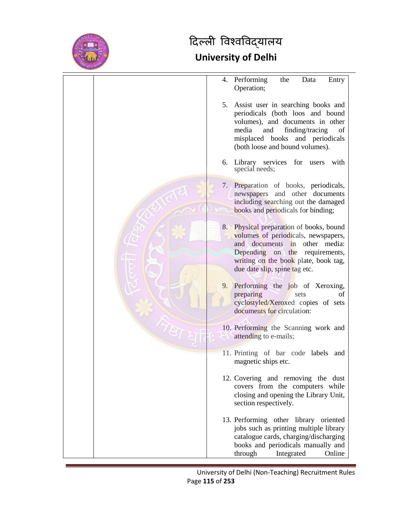

| 4. Performing<br>the<br>Data<br>Entry<br>Operation;                                                                                                                                                                             |
|---------------------------------------------------------------------------------------------------------------------------------------------------------------------------------------------------------------------------------|
| 5.<br>Assist user in searching books and<br>periodicals (both loos and bound<br>volumes), and documents in other<br>media<br>finding/tracing<br>and<br>of<br>misplaced books and periodicals<br>(both loose and bound volumes). |
| Library services for users with<br>6.<br>special needs;                                                                                                                                                                         |
| Preparation of books, periodicals,<br>7.<br>newspapers and other documents<br>including searching out the damaged<br>books and periodicals for binding;                                                                         |
| 8. Physical preparation of books, bound<br>volumes of periodicals, newspapers,<br>documents in other media:<br>and<br>Depending on the requirements,<br>writing on the book plate, book tag,<br>due date slip, spine tag etc.   |
| Performing the job of Xeroxing,<br>9.<br>preparing<br>of<br>sets<br>cyclostyled/Xeroxed copies of sets<br>documents for circulation:                                                                                            |
| 10. Performing the Scanning work and<br>attending to e-mails;                                                                                                                                                                   |
| 11. Printing of bar code labels and<br>magnetic ships etc.                                                                                                                                                                      |
| 12. Covering and removing the dust<br>covers from the computers while<br>closing and opening the Library Unit,<br>section respectively.                                                                                         |
| 13. Performing other library oriented<br>jobs such as printing multiple library<br>catalogue cards, charging/discharging<br>books and periodicals manually and<br>through<br>Integrated<br>Online                               |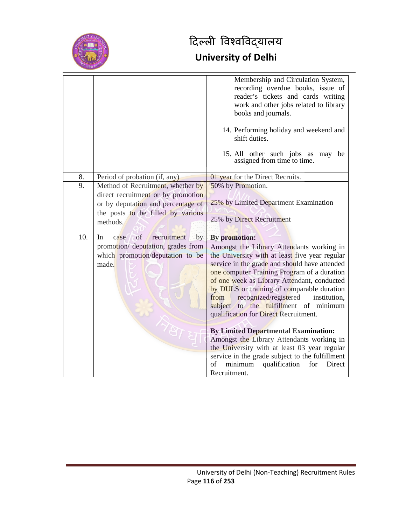

|     |                                       | Membership and Circulation System,<br>recording overdue books, issue of<br>reader's tickets and cards writing<br>work and other jobs related to library<br>books and journals. |
|-----|---------------------------------------|--------------------------------------------------------------------------------------------------------------------------------------------------------------------------------|
|     |                                       | 14. Performing holiday and weekend and<br>shift duties.                                                                                                                        |
|     |                                       | 15. All other such jobs as may be<br>assigned from time to time.                                                                                                               |
| 8.  | Period of probation (if, any)         | 01 year for the Direct Recruits.                                                                                                                                               |
| 9.  | Method of Recruitment, whether by     | 50% by Promotion.                                                                                                                                                              |
|     | direct recruitment or by promotion    |                                                                                                                                                                                |
|     | or by deputation and percentage of    | 25% by Limited Department Examination                                                                                                                                          |
|     | the posts to be filled by various     |                                                                                                                                                                                |
|     | methods.                              | 25% by Direct Recruitment                                                                                                                                                      |
|     |                                       |                                                                                                                                                                                |
| 10. | of<br>recruitment<br>In<br>by<br>case | <b>By promotion:</b>                                                                                                                                                           |
|     | promotion/ deputation, grades from    | Amongst the Library Attendants working in                                                                                                                                      |
|     | which promotion/deputation to be      | the University with at least five year regular                                                                                                                                 |
|     | made.                                 |                                                                                                                                                                                |
|     |                                       | service in the grade and should have attended                                                                                                                                  |
|     |                                       | one computer Training Program of a duration                                                                                                                                    |
|     |                                       | of one week as Library Attendant, conducted                                                                                                                                    |
|     |                                       | by DULS or training of comparable duration<br>from<br>institution,                                                                                                             |
|     |                                       | recognized/registered<br>subject to the fulfillment of minimum                                                                                                                 |
|     |                                       | qualification for Direct Recruitment.                                                                                                                                          |
|     |                                       |                                                                                                                                                                                |
|     |                                       | <b>By Limited Departmental Examination:</b>                                                                                                                                    |
|     |                                       | Amongst the Library Attendants working in                                                                                                                                      |
|     |                                       | the University with at least 03 year regular                                                                                                                                   |
|     |                                       | service in the grade subject to the fulfillment<br>minimum<br>qualification<br>of<br>for<br>Direct                                                                             |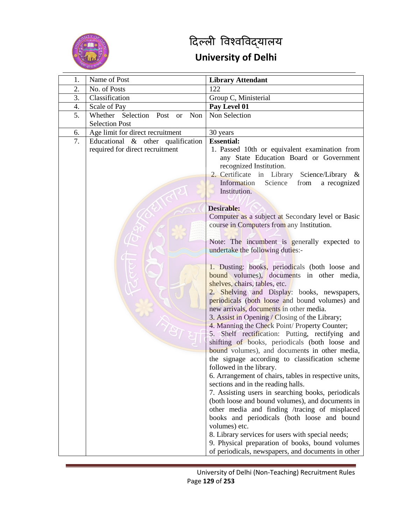

| 1. | Name of Post                                                                  | <b>Library Attendant</b>                                                                                                                                                                                                                                                                                                                                                                                                                                                                                                                                                                                                                                                                                                                                                                                                                                                                                                                                                                                                                                                                                                                                                                                                                                                                                           |
|----|-------------------------------------------------------------------------------|--------------------------------------------------------------------------------------------------------------------------------------------------------------------------------------------------------------------------------------------------------------------------------------------------------------------------------------------------------------------------------------------------------------------------------------------------------------------------------------------------------------------------------------------------------------------------------------------------------------------------------------------------------------------------------------------------------------------------------------------------------------------------------------------------------------------------------------------------------------------------------------------------------------------------------------------------------------------------------------------------------------------------------------------------------------------------------------------------------------------------------------------------------------------------------------------------------------------------------------------------------------------------------------------------------------------|
| 2. | No. of Posts                                                                  | 122                                                                                                                                                                                                                                                                                                                                                                                                                                                                                                                                                                                                                                                                                                                                                                                                                                                                                                                                                                                                                                                                                                                                                                                                                                                                                                                |
| 3. | Classification                                                                | Group C, Ministerial                                                                                                                                                                                                                                                                                                                                                                                                                                                                                                                                                                                                                                                                                                                                                                                                                                                                                                                                                                                                                                                                                                                                                                                                                                                                                               |
| 4. | Scale of Pay                                                                  | Pay Level 01                                                                                                                                                                                                                                                                                                                                                                                                                                                                                                                                                                                                                                                                                                                                                                                                                                                                                                                                                                                                                                                                                                                                                                                                                                                                                                       |
| 5. | Selection<br>Whether<br>Post<br>Non<br><sub>or</sub><br><b>Selection Post</b> | Non Selection                                                                                                                                                                                                                                                                                                                                                                                                                                                                                                                                                                                                                                                                                                                                                                                                                                                                                                                                                                                                                                                                                                                                                                                                                                                                                                      |
| 6. | Age limit for direct recruitment                                              | 30 years                                                                                                                                                                                                                                                                                                                                                                                                                                                                                                                                                                                                                                                                                                                                                                                                                                                                                                                                                                                                                                                                                                                                                                                                                                                                                                           |
| 7. | Educational $\&$ other qualification<br>required for direct recruitment       | <b>Essential:</b><br>1. Passed 10th or equivalent examination from<br>any State Education Board or Government<br>recognized Institution.<br>2. Certificate in Library Science/Library &<br>Information<br>Science<br>from<br>a recognized<br>Institution.                                                                                                                                                                                                                                                                                                                                                                                                                                                                                                                                                                                                                                                                                                                                                                                                                                                                                                                                                                                                                                                          |
|    |                                                                               | <b>Desirable:</b><br>Computer as a subject at Secondary level or Basic<br>course in Computers from any Institution.<br>Note: The incumbent is generally expected to<br>undertake the following duties:-<br>1. Dusting: books, periodicals (both loose and<br>bound volumes), documents in other media,<br>shelves, chairs, tables, etc.<br>2. Shelving and Display: books, newspapers,<br>periodicals (both loose and bound volumes) and<br>new arrivals, documents in other media.<br>3. Assist in Opening / Closing of the Library;<br>4. Manning the Check Point/ Property Counter;<br>5. Shelf rectification: Putting, rectifying and<br>shifting of books, periodicals (both loose and<br>bound volumes), and documents in other media,<br>the signage according to classification scheme<br>followed in the library.<br>6. Arrangement of chairs, tables in respective units,<br>sections and in the reading halls.<br>7. Assisting users in searching books, periodicals<br>(both loose and bound volumes), and documents in<br>other media and finding /tracing of misplaced<br>books and periodicals (both loose and bound<br>volumes) etc.<br>8. Library services for users with special needs;<br>9. Physical preparation of books, bound volumes<br>of periodicals, newspapers, and documents in other |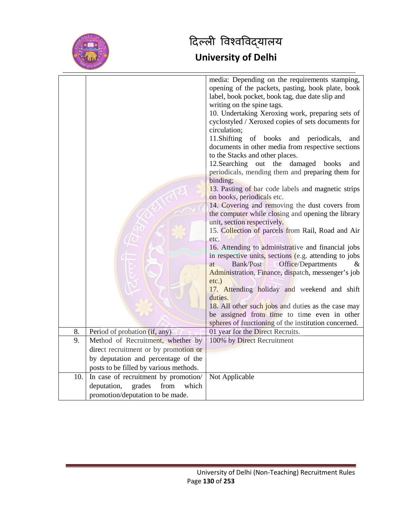

|          |                                        | media: Depending on the requirements stamping,        |
|----------|----------------------------------------|-------------------------------------------------------|
|          |                                        | opening of the packets, pasting, book plate, book     |
|          |                                        | label, book pocket, book tag, due date slip and       |
|          |                                        | writing on the spine tags.                            |
|          |                                        | 10. Undertaking Xeroxing work, preparing sets of      |
|          |                                        | cyclostyled / Xeroxed copies of sets documents for    |
|          |                                        | circulation;                                          |
|          |                                        | 11.Shifting<br>books<br>of<br>and periodicals,<br>and |
|          |                                        | documents in other media from respective sections     |
|          |                                        | to the Stacks and other places.                       |
|          |                                        | 12.Searching<br>damaged<br>out the<br>books<br>and    |
|          |                                        | periodicals, mending them and preparing them for      |
|          |                                        | binding;                                              |
|          |                                        | 13. Pasting of bar code labels and magnetic strips    |
|          |                                        | on books, periodicals etc.                            |
|          |                                        | 14. Covering and removing the dust covers from        |
|          |                                        | the computer while closing and opening the library    |
|          |                                        | unit, section respectively.                           |
|          |                                        | 15. Collection of parcels from Rail, Road and Air     |
|          |                                        | etc.                                                  |
|          |                                        | 16. Attending to administrative and financial jobs    |
|          |                                        | in respective units, sections (e.g. attending to jobs |
|          |                                        | Bank/Post<br>Office/Departments<br>&<br>at            |
|          |                                        | Administration, Finance, dispatch, messenger's job    |
|          |                                        | $etc.$ )                                              |
|          |                                        | 17. Attending holiday and weekend and shift           |
|          |                                        | duties.                                               |
|          |                                        | 18. All other such jobs and duties as the case may    |
|          |                                        | be assigned from time to time even in other           |
|          |                                        | spheres of functioning of the institution concerned.  |
| 8.<br>9. | Period of probation (if, any)          | 01 year for the Direct Recruits.                      |
|          | Method of Recruitment, whether by      | 100% by Direct Recruitment                            |
|          | direct recruitment or by promotion or  |                                                       |
|          | by deputation and percentage of the    |                                                       |
|          | posts to be filled by various methods. |                                                       |
| 10.      | In case of recruitment by promotion/   | Not Applicable                                        |
|          | deputation,<br>grades<br>from<br>which |                                                       |
|          | promotion/deputation to be made.       |                                                       |
|          |                                        |                                                       |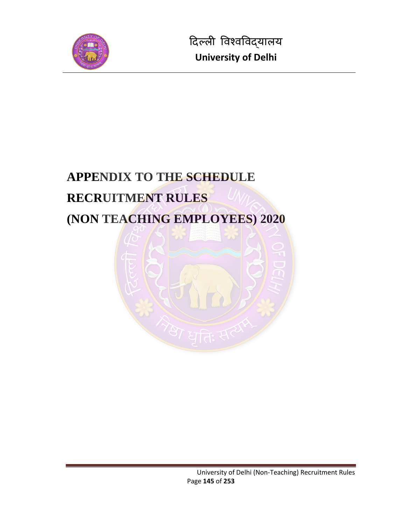

# **APPENDIX TO THE SCHEDULE RECRUITMENT RULES (NON TEACHING EMPLOYEES) 2020**

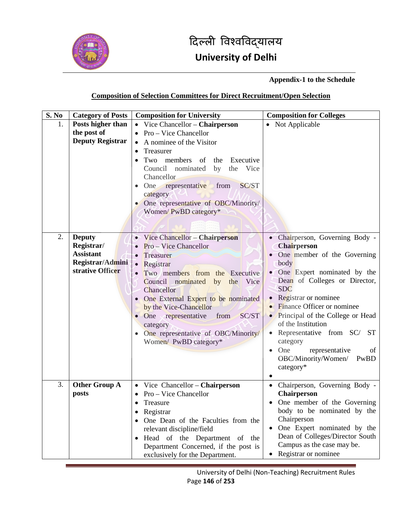

#### **Appendix-1 to the Schedule**

#### **Composition of Selection Committees for Direct Recruitment/Open Selection**

| S. No | <b>Category of Posts</b>                                                                | <b>Composition for University</b>                                                                                                                                                                                                                                                                                                                                     | <b>Composition for Colleges</b>                                                                                                                                                                                                                                                                                                                                                                                                                      |
|-------|-----------------------------------------------------------------------------------------|-----------------------------------------------------------------------------------------------------------------------------------------------------------------------------------------------------------------------------------------------------------------------------------------------------------------------------------------------------------------------|------------------------------------------------------------------------------------------------------------------------------------------------------------------------------------------------------------------------------------------------------------------------------------------------------------------------------------------------------------------------------------------------------------------------------------------------------|
| 1.    | Posts higher than<br>the post of<br><b>Deputy Registrar</b>                             | • Vice Chancellor - Chairperson<br>Pro – Vice Chancellor<br>A nominee of the Visitor<br>Treasurer<br>٠<br>Two<br>members<br>of the<br>Executive<br>Council nominated<br>the<br>Vice<br>by<br>Chancellor<br>SC/ST<br>representative from<br>One<br>category<br>One representative of OBC/Minority/<br>Women/PwBD category*                                             | • Not Applicable                                                                                                                                                                                                                                                                                                                                                                                                                                     |
| 2.    | <b>Deputy</b><br>Registrar/<br><b>Assistant</b><br>Registrar/Admini<br>strative Officer | • Vice Chancellor - Chairperson<br>Pro – Vice Chancellor<br>Treasurer<br>Registrar<br>Two members from the Executive<br>Council<br>nominated<br>the<br>Vice<br>by<br>Chancellor<br>• One External Expert to be nominated<br>by the Vice-Chancellor<br>SC/ST<br>One representative<br>from<br>category<br>One representative of OBC/Minority/<br>Women/ PwBD category* | Chairperson, Governing Body -<br>$\bullet$<br><b>Chairperson</b><br>One member of the Governing<br>body<br>One Expert nominated by the<br>Dean of Colleges or Director,<br><b>SDC</b><br>Registrar or nominee<br>Finance Officer or nominee<br>Principal of the College or Head<br>of the Institution<br>Representative from SC/ ST<br>$\bullet$<br>category<br>One<br>representative<br>of<br>$\bullet$<br>OBC/Minority/Women/<br>PwBD<br>category* |
| 3.    | <b>Other Group A</b><br>posts                                                           | Vice Chancellor - Chairperson<br>$\bullet$<br>Pro – Vice Chancellor<br>Treasure<br>Registrar<br>One Dean of the Faculties from the<br>relevant discipline/field<br>Head of the Department of the<br>$\bullet$<br>Department Concerned, if the post is<br>exclusively for the Department.                                                                              | Chairperson, Governing Body -<br>$\bullet$<br><b>Chairperson</b><br>One member of the Governing<br>$\bullet$<br>body to be nominated by the<br>Chairperson<br>One Expert nominated by the<br>$\bullet$<br>Dean of Colleges/Director South<br>Campus as the case may be.<br>Registrar or nominee                                                                                                                                                      |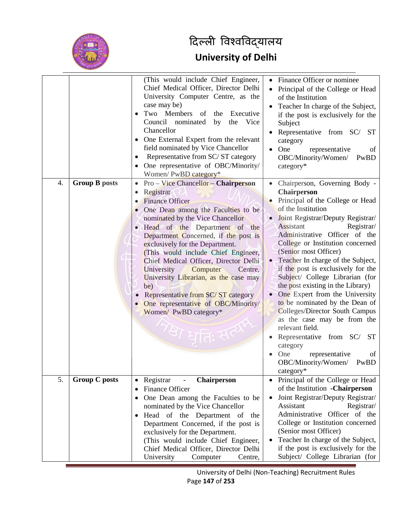

# दिल्ली विश्वविद्यालय

### **University of Delhi**

|    |                      | (This would include Chief Engineer,<br>Chief Medical Officer, Director Delhi<br>University Computer Centre, as the<br>case may be)<br>Two Members of the<br>Executive<br>Council nominated<br>Vice<br>by<br>the<br>Chancellor<br>One External Expert from the relevant<br>field nominated by Vice Chancellor<br>Representative from SC/ST category<br>$\bullet$<br>One representative of OBC/Minority/<br>Women/ PwBD category*                                                                                                                               | Finance Officer or nominee<br>$\bullet$<br>Principal of the College or Head<br>$\bullet$<br>of the Institution<br>Teacher In charge of the Subject,<br>if the post is exclusively for the<br>Subject<br>Representative from SC/<br>ST<br>category<br>One<br>representative<br>of<br>OBC/Minority/Women/<br>PwBD<br>category*                                                                                                                                                                                                                                                                                                                                                                                                             |
|----|----------------------|---------------------------------------------------------------------------------------------------------------------------------------------------------------------------------------------------------------------------------------------------------------------------------------------------------------------------------------------------------------------------------------------------------------------------------------------------------------------------------------------------------------------------------------------------------------|------------------------------------------------------------------------------------------------------------------------------------------------------------------------------------------------------------------------------------------------------------------------------------------------------------------------------------------------------------------------------------------------------------------------------------------------------------------------------------------------------------------------------------------------------------------------------------------------------------------------------------------------------------------------------------------------------------------------------------------|
| 4. | <b>Group B posts</b> | Pro – Vice Chancellor – Chairperson<br>$\bullet$<br>Registrar<br>٠<br><b>Finance Officer</b><br>One Dean among the Faculties to be<br>nominated by the Vice Chancellor<br>Head of the Department of the<br>Department Concerned, if the post is<br>exclusively for the Department.<br>(This would include Chief Engineer,<br>Chief Medical Officer, Director Delhi<br>University<br>Computer<br>Centre,<br>University Librarian, as the case may<br>be)<br>Representative from SC/ST category<br>One representative of OBC/Minority/<br>Women/ PwBD category* | Chairperson, Governing Body -<br>$\bullet$<br>Chairperson<br>Principal of the College or Head<br>of the Institution<br>Joint Registrar/Deputy Registrar/<br>Assistant<br>Registrar/<br>Administrative Officer of the<br>College or Institution concerned<br>(Senior most Officer)<br>Teacher In charge of the Subject,<br>if the post is exclusively for the<br>Subject/ College Librarian (for<br>the post existing in the Library)<br>One Expert from the University<br>to be nominated by the Dean of<br>Colleges/Director South Campus<br>as the case may be from the<br>relevant field.<br>Representative from SC/<br><b>ST</b><br>category<br>One<br>representative<br>of<br>$\bullet$<br>OBC/Minority/Women/<br>PwBD<br>category* |
| 5. | <b>Group C posts</b> | Registrar<br><b>Chairperson</b><br>Finance Officer<br>٠<br>One Dean among the Faculties to be<br>nominated by the Vice Chancellor<br>Head of the Department of<br>the<br>Department Concerned, if the post is<br>exclusively for the Department.<br>(This would include Chief Engineer,                                                                                                                                                                                                                                                                       | Principal of the College or Head<br>of the Institution - Chairperson<br>Joint Registrar/Deputy Registrar/<br>$\bullet$<br>Assistant<br>Registrar/<br>Administrative Officer of the<br>College or Institution concerned<br>(Senior most Officer)<br>Teacher In charge of the Subject,<br>٠                                                                                                                                                                                                                                                                                                                                                                                                                                                |
|    |                      | Chief Medical Officer, Director Delhi<br>University<br>Computer<br>Centre,                                                                                                                                                                                                                                                                                                                                                                                                                                                                                    | if the post is exclusively for the<br>Subject/ College Librarian (for                                                                                                                                                                                                                                                                                                                                                                                                                                                                                                                                                                                                                                                                    |

University of Delhi (Non-Teaching) Recruitment Rules Page **147** of **253**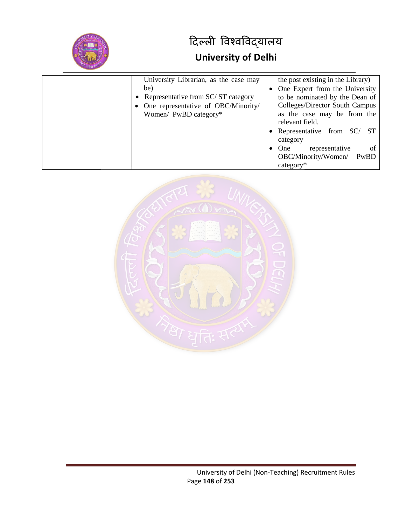

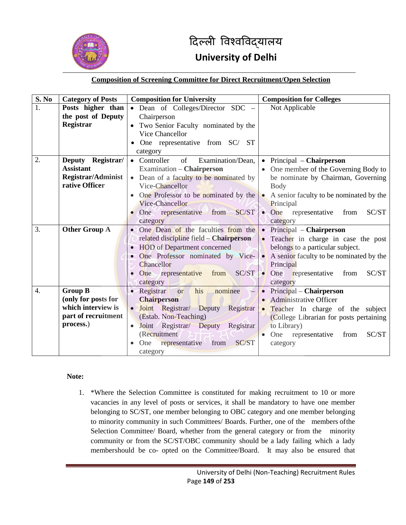

#### **Composition of Screening Committee for Direct Recruitment/Open Selection**

| S. No | <b>Category of Posts</b>  | <b>Composition for University</b>           | <b>Composition for Colleges</b>                     |  |  |
|-------|---------------------------|---------------------------------------------|-----------------------------------------------------|--|--|
|       | Posts higher than         | • Dean of Colleges/Director SDC<br>$\equiv$ | Not Applicable                                      |  |  |
|       | the post of Deputy        | Chairperson                                 |                                                     |  |  |
|       | Registrar                 | Two Senior Faculty nominated by the         |                                                     |  |  |
|       |                           | <b>Vice Chancellor</b>                      |                                                     |  |  |
|       |                           | One representative from SC/ ST              |                                                     |  |  |
|       |                           | category                                    |                                                     |  |  |
| 2.    | Deputy Registrar/         | • Controller<br>of<br>Examination/Dean,     | Principal – Chairperson<br>$\bullet$                |  |  |
|       | <b>Assistant</b>          | Examination - Chairperson                   | One member of the Governing Body to                 |  |  |
|       | <b>Registrar/Administ</b> | • Dean of a faculty to be nominated by      | be nominate by Chairman, Governing                  |  |  |
|       | rative Officer            | Vice-Chancellor                             | <b>Body</b>                                         |  |  |
|       |                           | One Professor to be nominated by the        | • A senior faculty to be nominated by the           |  |  |
|       |                           | Vice-Chancellor                             | Principal                                           |  |  |
|       |                           | One representative from<br><b>SC/ST</b>     | • One representative<br>SC/ST<br>from               |  |  |
|       |                           | category                                    | category                                            |  |  |
| 3.    | <b>Other Group A</b>      | • One Dean of the faculties from the        | • Principal - Chairperson                           |  |  |
|       |                           | related discipline field - Chairperson      | • Teacher in charge in case the post                |  |  |
|       |                           | HOD of Department concerned                 | belongs to a particular subject.                    |  |  |
|       |                           | One Professor nominated by Vice-            | A senior faculty to be nominated by the             |  |  |
|       |                           | Chancellor                                  | Principal                                           |  |  |
|       |                           | SC/ST<br>representative<br>One<br>from      | One<br>SC/ST<br>representative<br>from<br>$\bullet$ |  |  |
|       |                           | category                                    | category                                            |  |  |
| 4.    | <b>Group B</b>            | • Registrar<br>his<br>nominee<br><b>or</b>  | Principal – Chairperson                             |  |  |
|       | (only for posts for       | <b>Chairperson</b>                          | • Administrative Officer                            |  |  |
|       | which interview is        | · Joint Registrar/ Deputy Registrar         | • Teacher In charge of the subject                  |  |  |
|       | part of recruitment       | (Estab. Non-Teaching)                       | (College Librarian for posts pertaining             |  |  |
|       | process.)                 | Joint Registrar/ Deputy Registrar           | to Library)                                         |  |  |
|       |                           | (Recruitment                                | SC/ST<br>representative<br>One<br>from<br>$\bullet$ |  |  |
|       |                           | SC/ST<br>representative<br>from<br>One      | category                                            |  |  |
|       |                           | category                                    |                                                     |  |  |

#### **Note:**

1. \*Where the Selection Committee is constituted for making recruitment to 10 or more vacancies in any level of posts or services, it shall be mandatory to have one member belonging to SC/ST, one member belonging to OBC category and one member belonging to minority community in such Committees/ Boards. Further, one of the members ofthe Selection Committee/ Board, whether from the general category or from the minority community or from the SC/ST/OBC community should be a lady failing which a lady membershould be co- opted on the Committee/Board. It may also be ensured that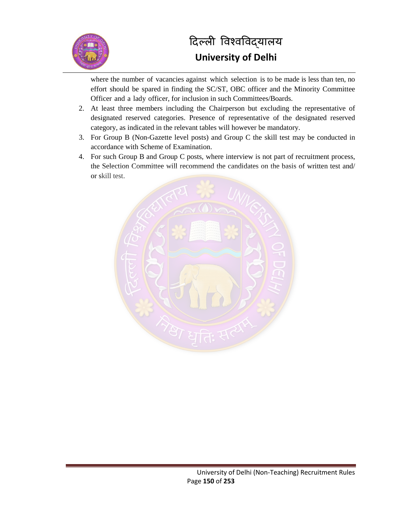

where the number of vacancies against which selection is to be made is less than ten, no effort should be spared in finding the SC/ST, OBC officer and the Minority Committee Officer and a lady officer, for inclusion in such Committees/Boards.

- 2. At least three members including the Chairperson but excluding the representative of designated reserved categories. Presence of representative of the designated reserved category, as indicated in the relevant tables will however be mandatory.
- 3. For Group B (Non-Gazette level posts) and Group C the skill test may be conducted in accordance with Scheme of Examination.
- 4. For such Group B and Group C posts, where interview is not part of recruitment process, the Selection Committee will recommend the candidates on the basis of written test and/ or skill test.

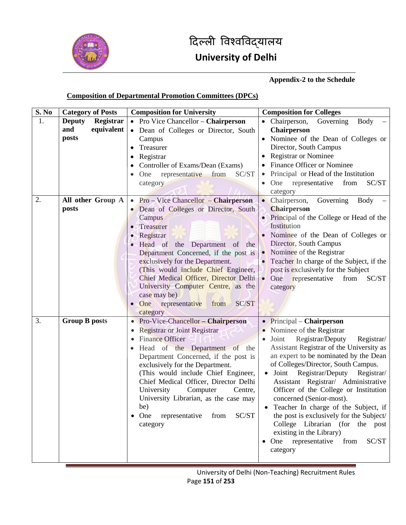

#### **Appendix-2 to the Schedule**

#### **Composition of Departmental Promotion Committees (DPCs)**

| <b>S. No</b> | <b>Category of Posts</b>   | <b>Composition for University</b>                      | <b>Composition for Colleges</b>                                  |  |
|--------------|----------------------------|--------------------------------------------------------|------------------------------------------------------------------|--|
| 1.           | Registrar<br><b>Deputy</b> | • Pro Vice Chancellor - Chairperson                    | Governing<br>• Chairperson,<br><b>Body</b>                       |  |
|              | equivalent<br>and          | • Dean of Colleges or Director, South                  | <b>Chairperson</b>                                               |  |
|              | posts                      | Campus                                                 | • Nominee of the Dean of Colleges or                             |  |
|              |                            | Treasurer                                              | Director, South Campus                                           |  |
|              |                            | Registrar<br>٠                                         | <b>Registrar or Nominee</b>                                      |  |
|              |                            | Controller of Exams/Dean (Exams)                       | <b>Finance Officer or Nominee</b>                                |  |
|              |                            | representative<br>from<br>SC/ST<br>One                 | Principal or Head of the Institution                             |  |
|              |                            | category                                               | from<br>One<br>representative<br>SC/ST<br>category               |  |
| 2.           | All other Group A          | • $Pro - Vice$ Chancellor - Chairperson                | • Chairperson,<br>Governing<br>Body                              |  |
|              | posts                      | • Dean of Colleges or Director, South                  | <b>Chairperson</b>                                               |  |
|              |                            | Campus<br>Treasurer                                    | • Principal of the College or Head of the<br>Institution         |  |
|              |                            | Registrar                                              | • Nominee of the Dean of Colleges or                             |  |
|              |                            | Head of the Department of the                          | Director, South Campus                                           |  |
|              |                            | Department Concerned, if the post is                   | • Nominee of the Registrar                                       |  |
|              |                            | exclusively for the Department.                        | • Teacher In charge of the Subject, if the                       |  |
|              |                            | (This would include Chief Engineer,                    | post is exclusively for the Subject                              |  |
|              |                            | Chief Medical Officer, Director Delhi                  | One<br>representative<br>from<br>$\bullet$<br>SC/ST              |  |
|              |                            | University Computer Centre, as the                     | category                                                         |  |
|              |                            | case may be)<br>SC/ST                                  |                                                                  |  |
|              |                            | One<br>representative<br>from<br>$\bullet$<br>category |                                                                  |  |
| 3.           | <b>Group B posts</b>       | • Pro-Vice-Chancellor - Chairperson                    | • Principal – Chairperson                                        |  |
|              |                            | <b>Registrar or Joint Registrar</b>                    | • Nominee of the Registrar                                       |  |
|              |                            | <b>Finance Officer</b><br>٠                            | Registrar/Deputy<br>Joint<br>Registrar/<br>$\bullet$             |  |
|              |                            | Head of the Department of the                          | Assistant Registrar of the University as                         |  |
|              |                            | Department Concerned, if the post is                   | an expert to be nominated by the Dean                            |  |
|              |                            | exclusively for the Department.                        | of Colleges/Director, South Campus.                              |  |
|              |                            | (This would include Chief Engineer,                    | Registrar/Deputy<br>Registrar/<br>Joint                          |  |
|              |                            | Chief Medical Officer, Director Delhi                  | Assistant Registrar/ Administrative                              |  |
|              |                            | Computer<br>University<br>Centre,                      | Officer of the College or Institution                            |  |
|              |                            | University Librarian, as the case may<br>be)           | concerned (Senior-most).<br>Teacher In charge of the Subject, if |  |
|              |                            | SC/ST<br>One<br>representative<br>from                 | the post is exclusively for the Subject/                         |  |
|              |                            | category                                               | College Librarian (for the post                                  |  |
|              |                            |                                                        | existing in the Library)                                         |  |
|              |                            |                                                        | One<br>representative<br>SC/ST<br>from                           |  |
|              |                            |                                                        | category                                                         |  |
|              |                            |                                                        |                                                                  |  |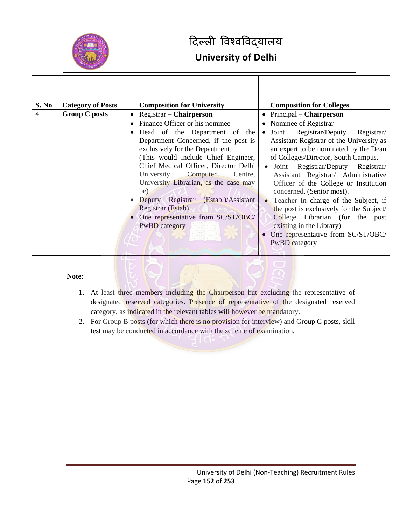

| S. No | <b>Category of Posts</b> | <b>Composition for University</b>                                                                                                                                                                                                                                                                                                                                                                     | <b>Composition for Colleges</b>                                                                                                                                                                                                                                                                                                                                                                                                                                            |  |
|-------|--------------------------|-------------------------------------------------------------------------------------------------------------------------------------------------------------------------------------------------------------------------------------------------------------------------------------------------------------------------------------------------------------------------------------------------------|----------------------------------------------------------------------------------------------------------------------------------------------------------------------------------------------------------------------------------------------------------------------------------------------------------------------------------------------------------------------------------------------------------------------------------------------------------------------------|--|
| 4.    | <b>Group C posts</b>     | • Registrar – Chairperson<br>Finance Officer or his nominee<br>Head of the Department of the<br>Department Concerned, if the post is<br>exclusively for the Department.<br>(This would include Chief Engineer,<br>Chief Medical Officer, Director Delhi<br>University Computer<br>Centre,<br>University Librarian, as the case may<br>be)<br>Deputy Registrar (Estab.)/Assistant<br>Registrar (Estab) | Principal – Chairperson<br>• Nominee of Registrar<br>Registrar/Deputy<br>$\bullet$ Joint<br>Registrar/<br>Assistant Registrar of the University as<br>an expert to be nominated by the Dean<br>of Colleges/Director, South Campus.<br>• Joint Registrar/Deputy Registrar/<br>Assistant Registrar/ Administrative<br>Officer of the College or Institution<br>concerned. (Senior most).<br>Teacher In charge of the Subject, if<br>the post is exclusively for the Subject/ |  |
|       |                          | One representative from SC/ST/OBC/<br>PwBD category                                                                                                                                                                                                                                                                                                                                                   | College Librarian (for the post<br>existing in the Library)<br>One representative from SC/ST/OBC/<br>PwBD category                                                                                                                                                                                                                                                                                                                                                         |  |

- 1. At least three members including the Chairperson but excluding the representative of designated reserved categories. Presence of representative of the designated reserved category, as indicated in the relevant tables will however be mandatory.
- 2. For Group B posts (for which there is no provision for interview) and Group C posts, skill test may be conducted in accordance with the scheme of examination.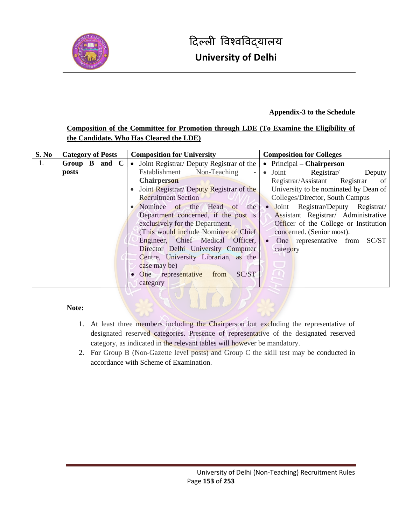

#### **Appendix-3 to the Schedule**

#### **Composition of the Committee for Promotion through LDE (To Examine the Eligibility of the Candidate, Who Has Cleared the LDE)**

| S. No | <b>Category of Posts</b> |  | <b>Composition for University</b>          | <b>Composition for Colleges</b>            |  |
|-------|--------------------------|--|--------------------------------------------|--------------------------------------------|--|
| 1.    | Group $B$ and $C$        |  | • Joint Registrar/ Deputy Registrar of the | $\bullet$ Principal – Chairperson          |  |
|       | posts                    |  | Establishment Non-Teaching<br>$\sim$       | Joint<br>Registrar/<br>Deputy<br>$\bullet$ |  |
|       |                          |  | <b>Chairperson</b>                         | Registrar/Assistant Registrar<br>- of      |  |
|       |                          |  | Joint Registrar/ Deputy Registrar of the   | University to be nominated by Dean of      |  |
|       |                          |  | <b>Recruitment Section</b>                 | Colleges/Director, South Campus            |  |
|       |                          |  | Nominee of the Head of<br>the              | • Joint Registrar/Deputy Registrar/        |  |
|       |                          |  | Department concerned, if the post is       | Assistant Registrar/ Administrative        |  |
|       |                          |  | exclusively for the Department.            | Officer of the College or Institution      |  |
|       |                          |  | (This would include Nominee of Chief       | concerned. (Senior most).                  |  |
|       |                          |  | Engineer, Chief Medical Officer,           | One representative from<br>SC/ST           |  |
|       |                          |  | Director Delhi University Computer         | category                                   |  |
|       |                          |  | Centre, University Librarian, as the       |                                            |  |
|       |                          |  | case may be)                               | $\Box$                                     |  |
|       |                          |  | SC/ST<br>One representative from           |                                            |  |
|       |                          |  | category                                   |                                            |  |

- 1. At least three members including the Chairperson but excluding the representative of designated reserved categories. Presence of representative of the designated reserved category, as indicated in the relevant tables will however be mandatory.
- 2. For Group B (Non-Gazette level posts) and Group C the skill test may be conducted in accordance with Scheme of Examination.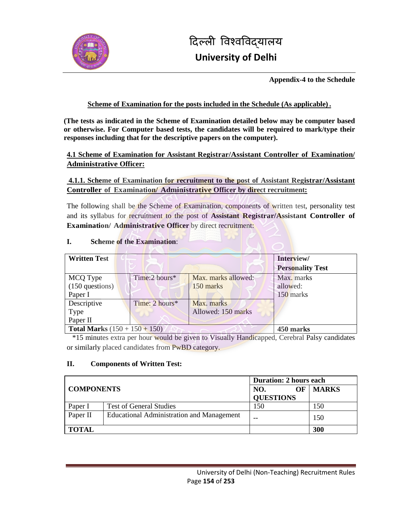

**Appendix-4 to the Schedule** 

#### **Scheme of Examination for the posts included in the Schedule (As applicable) .**

**(The tests as indicated in the Scheme of Examination detailed below may be computer based or otherwise. For Computer based tests, the candidates will be required to mark/type their responses including that for the descriptive papers on the computer).**

#### **4.1 Scheme of Examination for Assistant Registrar/Assistant Controller of Examination/ Administrative Officer:**

#### **4.1.1. Scheme of Examination for recruitment to the post of Assistant Registrar/Assistant Controller of Examination/ Administrative Officer by direct recruitment:**

The following shall be the Scheme of Examination, components of written test, personality test and its syllabus for recruitment to the post of **Assistant Registrar/Assistant Controller of Examination/ Administrative Officer** by direct recruitment:

| <b>Written Test</b> |                                                     |                     | Interview/              |  |  |  |
|---------------------|-----------------------------------------------------|---------------------|-------------------------|--|--|--|
|                     |                                                     |                     | <b>Personality Test</b> |  |  |  |
| MCQ Type            | Time:2 hours*                                       | Max. marks allowed: | Max. marks              |  |  |  |
| $(150$ questions)   |                                                     | 150 marks           | allowed:                |  |  |  |
| Paper I             |                                                     |                     | 150 marks               |  |  |  |
| Descriptive         | Time: 2 hours*                                      | Max. marks          |                         |  |  |  |
| Type                |                                                     | Allowed: 150 marks  |                         |  |  |  |
| Paper II            |                                                     |                     |                         |  |  |  |
|                     | <b>Total Marks</b> $(150 + 150 + 150)$<br>450 marks |                     |                         |  |  |  |

#### **I. Scheme of the Examination**:

 \*15 minutes extra per hour would be given to Visually Handicapped, Cerebral Palsy candidates or similarly placed candidates from PwBD category.

#### **II. Components of Written Test:**

|                   |                                                  | <b>Duration: 2 hours each</b> |              |  |
|-------------------|--------------------------------------------------|-------------------------------|--------------|--|
| <b>COMPONENTS</b> |                                                  | OF<br>NO.<br><b>QUESTIONS</b> | <b>MARKS</b> |  |
| Paper I           | <b>Test of General Studies</b>                   | l 50                          | 150.         |  |
| Paper II          | <b>Educational Administration and Management</b> |                               | 150          |  |
| <b>TOTAL</b>      |                                                  |                               | 300          |  |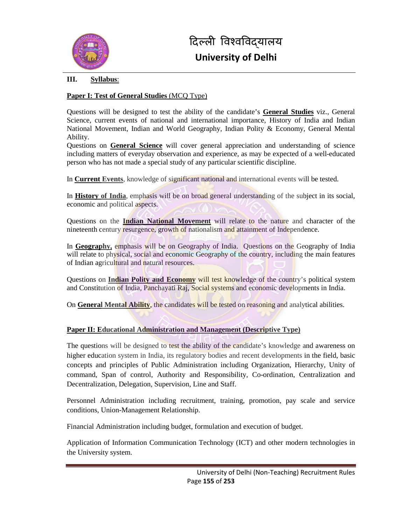

#### **III. Syllabus**:

#### **Paper I: Test of General Studies** (MCQ Type)

Questions will be designed to test the ability of the candidate's **General Studies** viz., General Science, current events of national and international importance, History of India and Indian National Movement, Indian and World Geography, Indian Polity & Economy, General Mental Ability.

Questions on **General Science** will cover general appreciation and understanding of science including matters of everyday observation and experience, as may be expected of a well-educated person who has not made a special study of any particular scientific discipline.

In **Current Events**, knowledge of significant national and international events will be tested.

In **History of India**, emphasis will be on broad general understanding of the subject in its social, economic and political aspects.

Questions on the **Indian National Movement** will relate to the nature and character of the nineteenth century resurgence, growth of nationalism and attainment of Independence.

In **Geography,** emphasis will be on Geography of India. Questions on the Geography of India will relate to physical, social and economic Geography of the country, including the main features of Indian agricultural and natural resources.

Questions on **Indian Polity and Economy** will test knowledge of the country's political system and Constitution of India, Panchayati Raj, Social systems and economic developments in India.

On **General Mental Ability**, the candidates will be tested on reasoning and analytical abilities.

#### **Paper II: Educational Administration and Management (Descriptive Type)**

The questions will be designed to test the ability of the candidate's knowledge and awareness on higher education system in India, its regulatory bodies and recent developments in the field, basic concepts and principles of Public Administration including Organization, Hierarchy, Unity of command, Span of control, Authority and Responsibility, Co-ordination, Centralization and Decentralization, Delegation, Supervision, Line and Staff.

Personnel Administration including recruitment, training, promotion, pay scale and service conditions, Union-Management Relationship.

Financial Administration including budget, formulation and execution of budget.

Application of Information Communication Technology (ICT) and other modern technologies in the University system.

> University of Delhi (Non-Teaching) Recruitment Rules Page **155** of **253**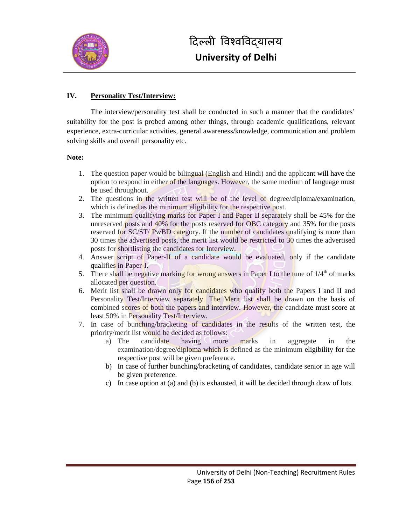

#### **IV. Personality Test/Interview:**

The interview/personality test shall be conducted in such a manner that the candidates' suitability for the post is probed among other things, through academic qualifications, relevant experience, extra-curricular activities, general awareness/knowledge, communication and problem solving skills and overall personality etc.

- 1. The question paper would be bilingual (English and Hindi) and the applicant will have the option to respond in either of the languages. However, the same medium of language must be used throughout.
- 2. The questions in the written test will be of the level of degree/diploma/examination, which is defined as the minimum eligibility for the respective post.
- 3. The minimum qualifying marks for Paper I and Paper II separately shall be 45% for the unreserved posts and 40% for the posts reserved for OBC category and 35% for the posts reserved for SC/ST/ PwBD category. If the number of candidates qualifying is more than 30 times the advertised posts, the merit list would be restricted to 30 times the advertised posts for shortlisting the candidates for Interview.
- 4. Answer script of Paper-II of a candidate would be evaluated, only if the candidate qualifies in Paper-I.
- 5. There shall be negative marking for wrong answers in Paper I to the tune of  $1/4<sup>th</sup>$  of marks allocated per question.
- 6. Merit list shall be drawn only for candidates who qualify both the Papers I and II and Personality Test/Interview separately. The Merit list shall be drawn on the basis of combined scores of both the papers and interview. However, the candidate must score at least 50% in Personality Test/Interview.
- 7. In case of bunching/bracketing of candidates in the results of the written test, the priority/merit list would be decided as follows:
	- a) The candidate having more marks in aggregate in the examination/degree/diploma which is defined as the minimum eligibility for the respective post will be given preference.
	- b) In case of further bunching/bracketing of candidates, candidate senior in age will be given preference.
	- c) In case option at (a) and (b) is exhausted, it will be decided through draw of lots.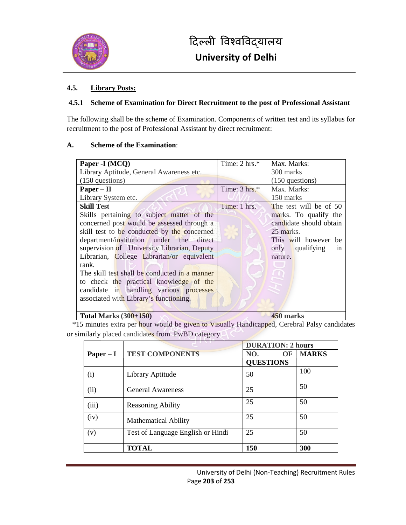

#### **4.5. Library Posts:**

#### **4.5.1 Scheme of Examination for Direct Recruitment to the post of Professional Assistant**

The following shall be the scheme of Examination. Components of written test and its syllabus for recruitment to the post of Professional Assistant by direct recruitment:

#### **A. Scheme of the Examination**:

| Paper -I (MCQ)                                | Time: $2 \text{ hrs.}^*$ | Max. Marks:             |  |
|-----------------------------------------------|--------------------------|-------------------------|--|
| Library Aptitude, General Awareness etc.      |                          | 300 marks               |  |
| $(150$ questions)                             |                          | $(150$ questions)       |  |
| $Paper - II$                                  | Time: $3 \text{ hrs.}^*$ | Max. Marks:             |  |
| Library System etc.                           |                          | 150 marks               |  |
| <b>Skill Test</b>                             | Time: 1 hrs.             | The test will be of 50  |  |
| Skills pertaining to subject matter of the    |                          | marks. To qualify the   |  |
| concerned post would be assessed through a    |                          | candidate should obtain |  |
| skill test to be conducted by the concerned   |                          | 25 marks.               |  |
| department/institution under the direct       |                          | This will however be    |  |
| supervision of University Librarian, Deputy   |                          | only qualifying<br>in   |  |
| Librarian, College Librarian/or equivalent    |                          | nature.                 |  |
| rank.                                         |                          |                         |  |
| The skill test shall be conducted in a manner |                          |                         |  |
| to check the practical knowledge of the       |                          |                         |  |
| candidate in handling various processes       |                          |                         |  |
| associated with Library's functioning.        |                          |                         |  |
|                                               |                          |                         |  |
| Total Marks $(300+150)$                       |                          | 450 marks               |  |

 \*15 minutes extra per hour would be given to Visually Handicapped, Cerebral Palsy candidates or similarly placed candidates from PwBD category.

|             |                                   | <b>DURATION: 2 hours</b>      |              |
|-------------|-----------------------------------|-------------------------------|--------------|
| $Paper - I$ | <b>TEST COMPONENTS</b>            | OF<br>NO.<br><b>QUESTIONS</b> | <b>MARKS</b> |
| (i)         | Library Aptitude                  | 50                            | 100          |
| (ii)        | <b>General Awareness</b>          | 25                            | 50           |
| (iii)       | <b>Reasoning Ability</b>          | 25                            | 50           |
| (iv)        | <b>Mathematical Ability</b>       | 25                            | 50           |
| (v)         | Test of Language English or Hindi | 25                            | 50           |
|             | <b>TOTAL</b>                      | 150                           | 300          |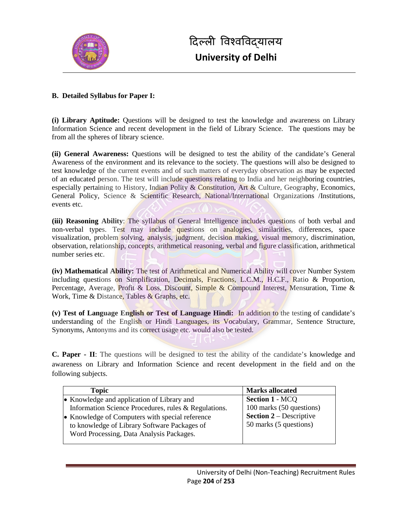

#### **B. Detailed Syllabus for Paper I:**

**(i) Library Aptitude:** Questions will be designed to test the knowledge and awareness on Library Information Science and recent development in the field of Library Science. The questions may be from all the spheres of library science.

**(ii) General Awareness:** Questions will be designed to test the ability of the candidate's General Awareness of the environment and its relevance to the society. The questions will also be designed to test knowledge of the current events and of such matters of everyday observation as may be expected of an educated person. The test will include questions relating to India and her neighboring countries, especially pertaining to History, Indian Polity & Constitution, Art & Culture, Geography, Economics, General Policy, Science & Scientific Research, National/International Organizations /Institutions, events etc.

**(iii) Reasoning Ability**: The syllabus of General Intelligence includes questions of both verbal and non-verbal types. Test may include questions on analogies, similarities, differences, space visualization, problem solving, analysis, judgment, decision making, visual memory, discrimination, observation, relationship, concepts, arithmetical reasoning, verbal and figure classification, arithmetical number series etc.

**(iv) Mathematical Ability:** The test of Arithmetical and Numerical Ability will cover Number System including questions on Simplification, Decimals, Fractions, L.C.M., H.C.F., Ratio & Proportion, Percentage, Average, Profit & Loss, Discount, Simple & Compound Interest, Mensuration, Time & Work, Time & Distance, Tables & Graphs, etc.

**(v) Test of Language English or Test of Language Hindi:** In addition to the testing of candidate's understanding of the English or Hindi Languages, its Vocabulary, Grammar, Sentence Structure, Synonyms, Antonyms and its correct usage etc. would also be tested.

**C. Paper - II**: The questions will be designed to test the ability of the candidate's knowledge and awareness on Library and Information Science and recent development in the field and on the following subjects.

| <b>Topic</b>                                         | <b>Marks allocated</b>         |
|------------------------------------------------------|--------------------------------|
| • Knowledge and application of Library and           | <b>Section 1 - MCQ</b>         |
| Information Science Procedures, rules & Regulations. | 100 marks (50 questions)       |
| • Knowledge of Computers with special reference      | <b>Section 2</b> – Descriptive |
| to knowledge of Library Software Packages of         | 50 marks (5 questions)         |
| Word Processing, Data Analysis Packages.             |                                |
|                                                      |                                |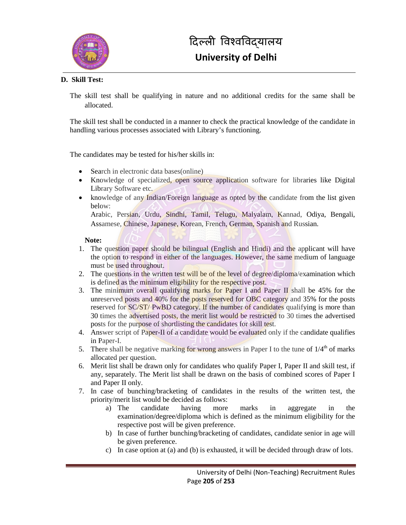

#### **D. Skill Test:**

The skill test shall be qualifying in nature and no additional credits for the same shall be allocated.

The skill test shall be conducted in a manner to check the practical knowledge of the candidate in handling various processes associated with Library's functioning.

The candidates may be tested for his/her skills in:

- Search in electronic data bases(online)
- Knowledge of specialized, open source application software for libraries like Digital Library Software etc.
- knowledge of any Indian/Foreign language as opted by the candidate from the list given below:

Arabic, Persian, Urdu, Sindhi, Tamil, Telugu, Malyalam, Kannad, Odiya, Bengali, Assamese, Chinese, Japanese, Korean, French, German, Spanish and Russian.

- 1. The question paper should be bilingual (English and Hindi) and the applicant will have the option to respond in either of the languages. However, the same medium of language must be used throughout.
- 2. The questions in the written test will be of the level of degree/diploma/examination which is defined as the minimum eligibility for the respective post.
- 3. The minimum overall qualifying marks for Paper I and Paper II shall be 45% for the unreserved posts and 40% for the posts reserved for OBC category and 35% for the posts reserved for SC/ST/ PwBD category. If the number of candidates qualifying is more than 30 times the advertised posts, the merit list would be restricted to 30 times the advertised posts for the purpose of shortlisting the candidates for skill test.
- 4. Answer script of Paper-II of a candidate would be evaluated only if the candidate qualifies in Paper-I.
- 5. There shall be negative marking for wrong answers in Paper I to the tune of  $1/4<sup>th</sup>$  of marks allocated per question.
- 6. Merit list shall be drawn only for candidates who qualify Paper I, Paper II and skill test, if any, separately. The Merit list shall be drawn on the basis of combined scores of Paper I and Paper II only.
- 7. In case of bunching/bracketing of candidates in the results of the written test, the priority/merit list would be decided as follows:
	- a) The candidate having more marks in aggregate in the examination/degree/diploma which is defined as the minimum eligibility for the respective post will be given preference.
	- b) In case of further bunching/bracketing of candidates, candidate senior in age will be given preference.
	- c) In case option at (a) and (b) is exhausted, it will be decided through draw of lots.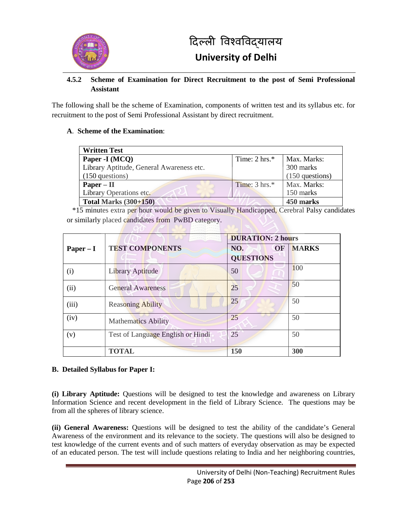

#### **4.5.2 Scheme of Examination for Direct Recruitment to the post of Semi Professional Assistant**

The following shall be the scheme of Examination, components of written test and its syllabus etc. for recruitment to the post of Semi Professional Assistant by direct recruitment.

#### **A**. **Scheme of the Examination**:

| <b>Written Test</b>                      |                          |                   |
|------------------------------------------|--------------------------|-------------------|
| Paper -I (MCQ)                           | Time: $2 \text{ hrs.}^*$ | Max. Marks:       |
| Library Aptitude, General Awareness etc. |                          | 300 marks         |
| $(150$ questions)                        |                          | $(150$ questions) |
| $Paper - II$                             | Time: $3 \text{ hrs.}^*$ | Max. Marks:       |
| Library Operations etc.                  |                          | 150 marks         |
| Total Marks $(300+150)$                  |                          | 450 marks         |

 \*15 minutes extra per hour would be given to Visually Handicapped, Cerebral Palsy candidates or similarly placed candidates from PwBD category.

|             |                                   | <b>DURATION: 2 hours</b> |              |  |
|-------------|-----------------------------------|--------------------------|--------------|--|
| $Paper - I$ | <b>TEST COMPONENTS</b>            | <b>OF</b><br>NO.         | <b>MARKS</b> |  |
|             |                                   | <b>QUESTIONS</b>         |              |  |
| (i)         | Library Aptitude                  | 50                       | 100          |  |
| (ii)        | <b>General Awareness</b>          | 25                       | 50           |  |
| (iii)       | <b>Reasoning Ability</b>          | 25                       | 50           |  |
| (iv)        | <b>Mathematics Ability</b>        | 25                       | 50           |  |
| (v)         | Test of Language English or Hindi | 25                       | 50           |  |
|             | <b>TOTAL</b>                      | 150                      | 300          |  |

#### **B. Detailed Syllabus for Paper I:**

**(i) Library Aptitude:** Questions will be designed to test the knowledge and awareness on Library Information Science and recent development in the field of Library Science. The questions may be from all the spheres of library science.

**(ii) General Awareness:** Questions will be designed to test the ability of the candidate's General Awareness of the environment and its relevance to the society. The questions will also be designed to test knowledge of the current events and of such matters of everyday observation as may be expected of an educated person. The test will include questions relating to India and her neighboring countries,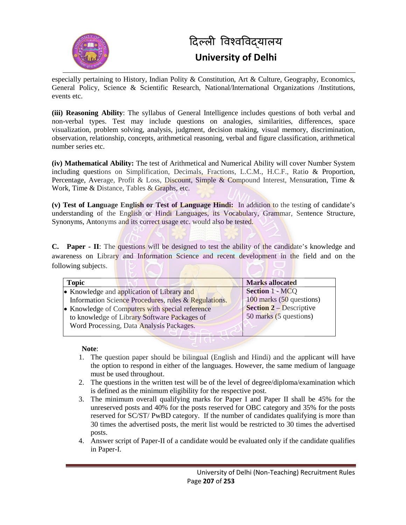

especially pertaining to History, Indian Polity & Constitution, Art & Culture, Geography, Economics, General Policy, Science & Scientific Research, National/International Organizations /Institutions, events etc.

**(iii) Reasoning Ability**: The syllabus of General Intelligence includes questions of both verbal and non-verbal types. Test may include questions on analogies, similarities, differences, space visualization, problem solving, analysis, judgment, decision making, visual memory, discrimination, observation, relationship, concepts, arithmetical reasoning, verbal and figure classification, arithmetical number series etc.

**(iv) Mathematical Ability:** The test of Arithmetical and Numerical Ability will cover Number System including questions on Simplification, Decimals, Fractions, L.C.M., H.C.F., Ratio & Proportion, Percentage, Average, Profit & Loss, Discount, Simple & Compound Interest, Mensuration, Time & Work, Time & Distance, Tables & Graphs, etc.

**(v) Test of Language English or Test of Language Hindi:** In addition to the testing of candidate's understanding of the English or Hindi Languages, its Vocabulary, Grammar, Sentence Structure, Synonyms, Antonyms and its correct usage etc. would also be tested.

**C. Paper - II**: The questions will be designed to test the ability of the candidate's knowledge and awareness on Library and Information Science and recent development in the field and on the following subjects.

| <b>Topic</b>                                         | <b>Marks allocated</b>         |
|------------------------------------------------------|--------------------------------|
| • Knowledge and application of Library and           | <b>Section 1 - MCO</b>         |
| Information Science Procedures, rules & Regulations. | 100 marks $(50$ questions)     |
| • Knowledge of Computers with special reference      | <b>Section 2</b> – Descriptive |
| to knowledge of Library Software Packages of         | 50 marks (5 questions)         |
| Word Processing, Data Analysis Packages.             |                                |
|                                                      |                                |

- 1. The question paper should be bilingual (English and Hindi) and the applicant will have the option to respond in either of the languages. However, the same medium of language must be used throughout.
- 2. The questions in the written test will be of the level of degree/diploma/examination which is defined as the minimum eligibility for the respective post.
- 3. The minimum overall qualifying marks for Paper I and Paper II shall be 45% for the unreserved posts and 40% for the posts reserved for OBC category and 35% for the posts reserved for SC/ST/ PwBD category. If the number of candidates qualifying is more than 30 times the advertised posts, the merit list would be restricted to 30 times the advertised posts.
- 4. Answer script of Paper-II of a candidate would be evaluated only if the candidate qualifies in Paper-I.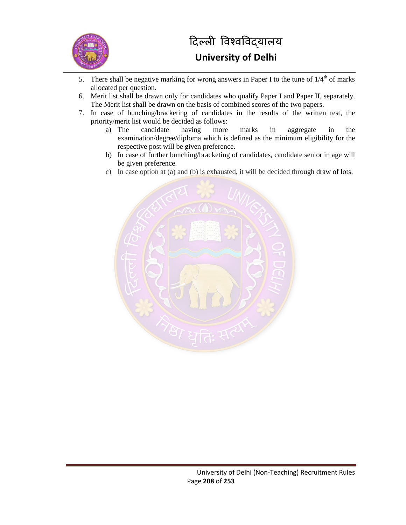

- 5. There shall be negative marking for wrong answers in Paper I to the tune of  $1/4<sup>th</sup>$  of marks allocated per question.
- 6. Merit list shall be drawn only for candidates who qualify Paper I and Paper II, separately. The Merit list shall be drawn on the basis of combined scores of the two papers.
- 7. In case of bunching/bracketing of candidates in the results of the written test, the priority/merit list would be decided as follows:
	- a) The candidate having more marks in aggregate in the examination/degree/diploma which is defined as the minimum eligibility for the respective post will be given preference.
	- b) In case of further bunching/bracketing of candidates, candidate senior in age will be given preference.
	- c) In case option at (a) and (b) is exhausted, it will be decided through draw of lots.

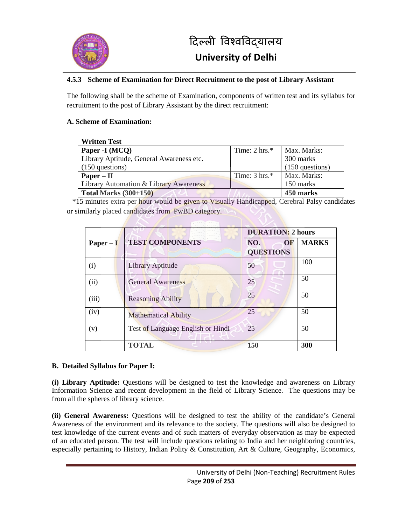

#### **4.5.3 Scheme of Examination for Direct Recruitment to the post of Library Assistant**

The following shall be the scheme of Examination, components of written test and its syllabus for recruitment to the post of Library Assistant by the direct recruitment:

#### **A. Scheme of Examination:**

| <b>Written Test</b>                      |                          |                 |
|------------------------------------------|--------------------------|-----------------|
| Paper -I (MCQ)                           | Time: $2 \text{ hrs.}^*$ | Max. Marks:     |
| Library Aptitude, General Awareness etc. |                          | 300 marks       |
| $(150$ questions)                        |                          | (150 questions) |
| $Paper - II$                             | Time: $3 \text{ hrs.}^*$ | Max. Marks:     |
| Library Automation & Library Awareness   |                          | 150 marks       |
| Total Marks $(300+150)$                  |                          | 450 marks       |

 \*15 minutes extra per hour would be given to Visually Handicapped, Cerebral Palsy candidates or similarly placed candidates from PwBD category.

|             |                                   | <b>DURATION: 2 hours</b>             |              |
|-------------|-----------------------------------|--------------------------------------|--------------|
| $Paper - I$ | <b>TEST COMPONENTS</b>            | NO.<br><b>OF</b><br><b>QUESTIONS</b> | <b>MARKS</b> |
| (i)         | Library Aptitude                  | 50                                   | 100          |
| (ii)        | <b>General Awareness</b>          | 25                                   | 50           |
| (iii)       | <b>Reasoning Ability</b>          | 25                                   | 50           |
| (iv)        | <b>Mathematical Ability</b>       | 25                                   | 50           |
| (v)         | Test of Language English or Hindi | 25                                   | 50           |
|             | <b>TOTAL</b>                      | 150                                  | 300          |

#### **B. Detailed Syllabus for Paper I:**

**(i) Library Aptitude:** Questions will be designed to test the knowledge and awareness on Library Information Science and recent development in the field of Library Science. The questions may be from all the spheres of library science.

**(ii) General Awareness:** Questions will be designed to test the ability of the candidate's General Awareness of the environment and its relevance to the society. The questions will also be designed to test knowledge of the current events and of such matters of everyday observation as may be expected of an educated person. The test will include questions relating to India and her neighboring countries, especially pertaining to History, Indian Polity & Constitution, Art & Culture, Geography, Economics,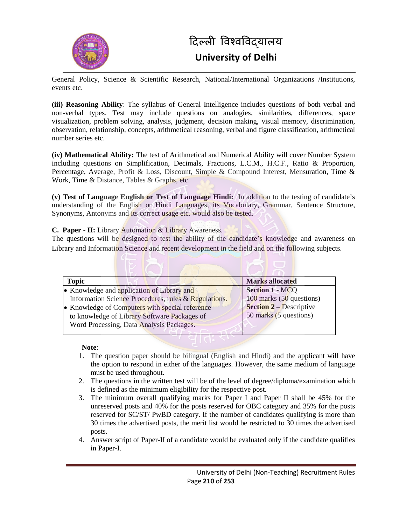

General Policy, Science & Scientific Research, National/International Organizations /Institutions, events etc.

**(iii) Reasoning Ability**: The syllabus of General Intelligence includes questions of both verbal and non-verbal types. Test may include questions on analogies, similarities, differences, space visualization, problem solving, analysis, judgment, decision making, visual memory, discrimination, observation, relationship, concepts, arithmetical reasoning, verbal and figure classification, arithmetical number series etc.

**(iv) Mathematical Ability:** The test of Arithmetical and Numerical Ability will cover Number System including questions on Simplification, Decimals, Fractions, L.C.M., H.C.F., Ratio & Proportion, Percentage, Average, Profit & Loss, Discount, Simple & Compound Interest, Mensuration, Time & Work, Time & Distance, Tables & Graphs, etc.

**(v) Test of Language English or Test of Language Hindi:** In addition to the testing of candidate's understanding of the English or Hindi Languages, its Vocabulary, Grammar, Sentence Structure, Synonyms, Antonyms and its correct usage etc. would also be tested.

**C. Paper - II:** Library Automation & Library Awareness.

The questions will be designed to test the ability of the candidate's knowledge and awareness on Library and Information Science and recent development in the field and on the following subjects.

| <b>Topic</b>                                         | <b>Marks allocated</b>         |
|------------------------------------------------------|--------------------------------|
| • Knowledge and application of Library and           | <b>Section 1 - MCO</b>         |
| Information Science Procedures, rules & Regulations. | $100$ marks $(50$ questions)   |
| • Knowledge of Computers with special reference      | <b>Section 2</b> – Descriptive |
| to knowledge of Library Software Packages of         | 50 marks (5 questions)         |
| Word Processing, Data Analysis Packages.             |                                |
|                                                      |                                |

- 1. The question paper should be bilingual (English and Hindi) and the applicant will have the option to respond in either of the languages. However, the same medium of language must be used throughout.
- 2. The questions in the written test will be of the level of degree/diploma/examination which is defined as the minimum eligibility for the respective post.
- 3. The minimum overall qualifying marks for Paper I and Paper II shall be 45% for the unreserved posts and 40% for the posts reserved for OBC category and 35% for the posts reserved for SC/ST/ PwBD category. If the number of candidates qualifying is more than 30 times the advertised posts, the merit list would be restricted to 30 times the advertised posts.
- 4. Answer script of Paper-II of a candidate would be evaluated only if the candidate qualifies in Paper-I.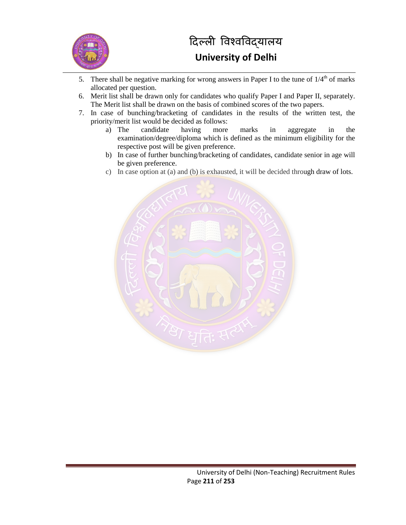

- 5. There shall be negative marking for wrong answers in Paper I to the tune of  $1/4<sup>th</sup>$  of marks allocated per question.
- 6. Merit list shall be drawn only for candidates who qualify Paper I and Paper II, separately. The Merit list shall be drawn on the basis of combined scores of the two papers.
- 7. In case of bunching/bracketing of candidates in the results of the written test, the priority/merit list would be decided as follows:
	- a) The candidate having more marks in aggregate in the examination/degree/diploma which is defined as the minimum eligibility for the respective post will be given preference.
	- b) In case of further bunching/bracketing of candidates, candidate senior in age will be given preference.
	- c) In case option at (a) and (b) is exhausted, it will be decided through draw of lots.

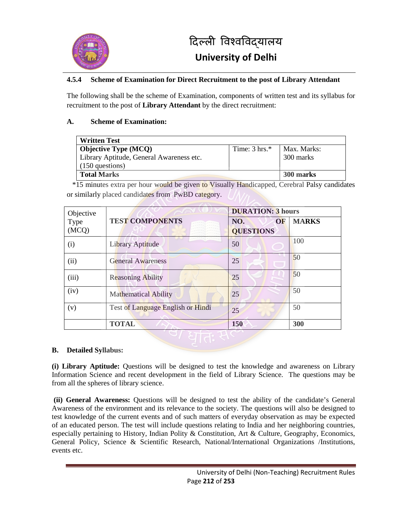

#### **4.5.4 Scheme of Examination for Direct Recruitment to the post of Library Attendant**

The following shall be the scheme of Examination, components of written test and its syllabus for recruitment to the post of **Library Attendant** by the direct recruitment:

#### **A. Scheme of Examination:**

| <b>Written Test</b>                      |                          |             |
|------------------------------------------|--------------------------|-------------|
| <b>Objective Type (MCQ)</b>              | Time: $3 \text{ hrs.}^*$ | Max. Marks: |
| Library Aptitude, General Awareness etc. |                          | 300 marks   |
| $(150$ questions)                        |                          |             |
| <b>Total Marks</b>                       |                          | 300 marks   |

 \*15 minutes extra per hour would be given to Visually Handicapped, Cerebral Palsy candidates or similarly placed candidates from PwBD category.

| Objective     |                                   | <b>DURATION: 3 hours</b>             |              |
|---------------|-----------------------------------|--------------------------------------|--------------|
| Type<br>(MCQ) | <b>TEST COMPONENTS</b>            | NO.<br><b>OF</b><br><b>QUESTIONS</b> | <b>MARKS</b> |
| (i)           | Library Aptitude                  | 50                                   | 100          |
| (ii)          | <b>General Awareness</b>          | 25                                   | 50           |
| (iii)         | <b>Reasoning Ability</b>          | 25                                   | 50           |
| (iv)          | <b>Mathematical Ability</b>       | 25                                   | 50           |
| (v)           | Test of Language English or Hindi | 25                                   | 50           |
|               | <b>TOTAL</b>                      | 150                                  | 300          |

#### **B. Detailed Syllabus:**

**(i) Library Aptitude:** Questions will be designed to test the knowledge and awareness on Library Information Science and recent development in the field of Library Science. The questions may be from all the spheres of library science.

**(ii) General Awareness:** Questions will be designed to test the ability of the candidate's General Awareness of the environment and its relevance to the society. The questions will also be designed to test knowledge of the current events and of such matters of everyday observation as may be expected of an educated person. The test will include questions relating to India and her neighboring countries, especially pertaining to History, Indian Polity & Constitution, Art & Culture, Geography, Economics, General Policy, Science & Scientific Research, National/International Organizations /Institutions, events etc.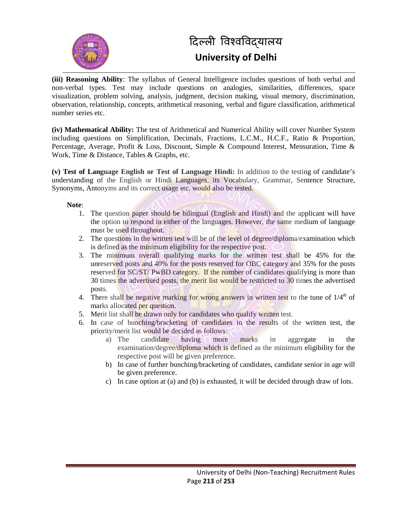

**(iii) Reasoning Ability**: The syllabus of General Intelligence includes questions of both verbal and non-verbal types. Test may include questions on analogies, similarities, differences, space visualization, problem solving, analysis, judgment, decision making, visual memory, discrimination, observation, relationship, concepts, arithmetical reasoning, verbal and figure classification, arithmetical number series etc.

**(iv) Mathematical Ability:** The test of Arithmetical and Numerical Ability will cover Number System including questions on Simplification, Decimals, Fractions, L.C.M., H.C.F., Ratio & Proportion, Percentage, Average, Profit & Loss, Discount, Simple & Compound Interest, Mensuration, Time & Work, Time & Distance, Tables & Graphs, etc.

**(v) Test of Language English or Test of Language Hindi:** In addition to the testing of candidate's understanding of the English or Hindi Languages, its Vocabulary, Grammar, Sentence Structure, Synonyms, Antonyms and its correct usage etc. would also be tested.

- 1. The question paper should be bilingual (English and Hindi) and the applicant will have the option to respond in either of the languages. However, the same medium of language must be used throughout.
- 2. The questions in the written test will be of the level of degree/diploma/examination which is defined as the minimum eligibility for the respective post.
- 3. The minimum overall qualifying marks for the written test shall be 45% for the unreserved posts and 40% for the posts reserved for OBC category and 35% for the posts reserved for SC/ST/ PwBD category. If the number of candidates qualifying is more than 30 times the advertised posts, the merit list would be restricted to 30 times the advertised posts.
- 4. There shall be negative marking for wrong answers in written test to the tune of  $1/4<sup>th</sup>$  of marks allocated per question.
- 5. Merit list shall be drawn only for candidates who qualify written test.
- 6. In case of bunching/bracketing of candidates in the results of the written test, the priority/merit list would be decided as follows:
	- a) The candidate having more marks in aggregate in the examination/degree/diploma which is defined as the minimum eligibility for the respective post will be given preference.
	- b) In case of further bunching/bracketing of candidates, candidate senior in age will be given preference.
	- c) In case option at (a) and (b) is exhausted, it will be decided through draw of lots.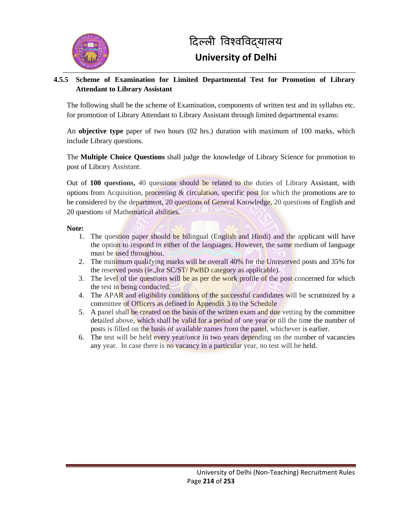

#### **4.5.5 Scheme of Examination for Limited Departmental Test for Promotion of Library Attendant to Library Assistant**

The following shall be the scheme of Examination, components of written test and its syllabus etc. for promotion of Library Attendant to Library Assistant through limited departmental exams:

An **objective type** paper of two hours (02 hrs.) duration with maximum of 100 marks, which include Library questions.

The **Multiple Choice Questions** shall judge the knowledge of Library Science for promotion to post of Library Assistant.

Out of **100 questions,** 40 questions should be related to the duties of Library Assistant, with options from Acquisition, processing & circulation, specific post for which the promotions are to be considered by the department, 20 questions of General Knowledge, 20 questions of English and 20 questions of Mathematical abilities.

- 1. The question paper should be bilingual (English and Hindi) and the applicant will have the option to respond in either of the languages. However, the same medium of language must be used throughout.
- 2. The minimum qualifying marks will be overall 40% for the Unreserved posts and 35% for the reserved posts (ie.,for SC/ST/ PwBD category as applicable).
- 3. The level of the questions will be as per the work profile of the post concerned for which the test in being conducted.
- 4. The APAR and eligibility conditions of the successful candidates will be scrutinized by a committee of Officers as defined in Appendix 3 to the Schedule
- 5. A panel shall be created on the basis of the written exam and due vetting by the committee detailed above, which shall be valid for a period of one year or till the time the number of posts is filled on the basis of available names from the panel, whichever is earlier.
- 6. The test will be held every year/once in two years depending on the number of vacancies any year. In case there is no vacancy in a particular year, no test will be held.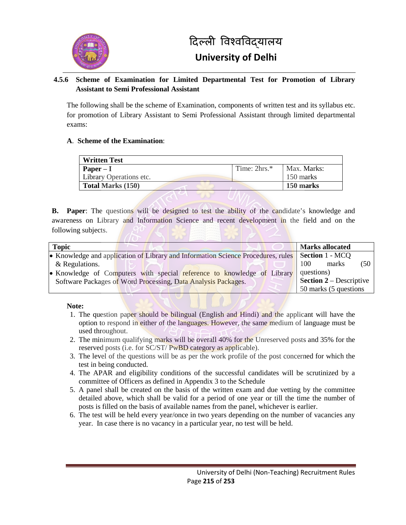

#### **4.5.6 Scheme of Examination for Limited Departmental Test for Promotion of Library Assistant to Semi Professional Assistant**

The following shall be the scheme of Examination, components of written test and its syllabus etc. for promotion of Library Assistant to Semi Professional Assistant through limited departmental exams:

#### **A**. **Scheme of the Examination**:

| <b>Written Test</b>      |                |             |
|--------------------------|----------------|-------------|
| $Paper-I$                | Time: $2hrs.*$ | Max. Marks: |
| Library Operations etc.  |                | 150 marks   |
| <b>Total Marks (150)</b> |                | 150 marks   |

**B.** Paper: The questions will be designed to test the ability of the candidate's knowledge and awareness on Library and Information Science and recent development in the field and on the following subjects.

| <b>Topic</b>                                                                     | <b>Marks allocated</b>         |
|----------------------------------------------------------------------------------|--------------------------------|
| • Knowledge and application of Library and Information Science Procedures, rules | Section 1 - MCO                |
| & Regulations.                                                                   | marks<br>(50-<br>100           |
| • Knowledge of Computers with special reference to knowledge of Library          | questions)                     |
| Software Packages of Word Processing, Data Analysis Packages.                    | <b>Section 2</b> – Descriptive |
|                                                                                  | 50 marks (5 questions          |

- 1. The question paper should be bilingual (English and Hindi) and the applicant will have the option to respond in either of the languages. However, the same medium of language must be used throughout.
- 2. The minimum qualifying marks will be overall 40% for the Unreserved posts and 35% for the reserved posts (i.e. for SC/ST/ PwBD category as applicable).
- 3. The level of the questions will be as per the work profile of the post concerned for which the test in being conducted.
- 4. The APAR and eligibility conditions of the successful candidates will be scrutinized by a committee of Officers as defined in Appendix 3 to the Schedule
- 5. A panel shall be created on the basis of the written exam and due vetting by the committee detailed above, which shall be valid for a period of one year or till the time the number of posts is filled on the basis of available names from the panel, whichever is earlier.
- 6. The test will be held every year/once in two years depending on the number of vacancies any year. In case there is no vacancy in a particular year, no test will be held.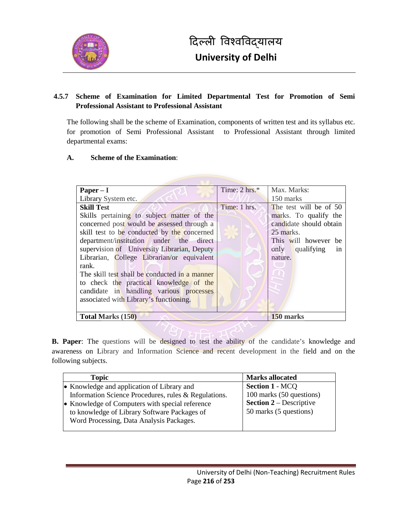

#### **4.5.7 Scheme of Examination for Limited Departmental Test for Promotion of Semi Professional Assistant to Professional Assistant**

The following shall be the scheme of Examination, components of written test and its syllabus etc. for promotion of Semi Professional Assistant to Professional Assistant through limited departmental exams:

#### **A. Scheme of the Examination**:

| $Paper - I$                                   | Time: $2 \text{ hrs.}^*$ | Max. Marks:             |
|-----------------------------------------------|--------------------------|-------------------------|
| Library System etc.                           |                          | 150 marks               |
| <b>Skill Test</b>                             | Time: 1 hrs.             | The test will be of 50  |
| Skills pertaining to subject matter of the    |                          | marks. To qualify the   |
| concerned post would be assessed through a    |                          | candidate should obtain |
| skill test to be conducted by the concerned   |                          | 25 marks.               |
| department/institution under the direct       |                          | This will however be    |
| supervision of University Librarian, Deputy   |                          | only qualifying in      |
| Librarian, College Librarian/or equivalent    |                          | nature.                 |
| rank.                                         |                          |                         |
| The skill test shall be conducted in a manner |                          |                         |
| to check the practical knowledge of the       |                          |                         |
| candidate in handling various processes       |                          |                         |
| associated with Library's functioning.        |                          |                         |
|                                               |                          |                         |
| <b>Total Marks (150)</b>                      |                          | 150 marks               |
|                                               |                          |                         |

**B. Paper**: The questions will be designed to test the ability of the candidate's knowledge and awareness on Library and Information Science and recent development in the field and on the following subjects.

| <b>Topic</b>                                         | <b>Marks allocated</b>         |
|------------------------------------------------------|--------------------------------|
| • Knowledge and application of Library and           | <b>Section 1 - MCQ</b>         |
| Information Science Procedures, rules & Regulations. | 100 marks (50 questions)       |
| • Knowledge of Computers with special reference      | <b>Section 2</b> – Descriptive |
| to knowledge of Library Software Packages of         | 50 marks (5 questions)         |
| Word Processing, Data Analysis Packages.             |                                |
|                                                      |                                |